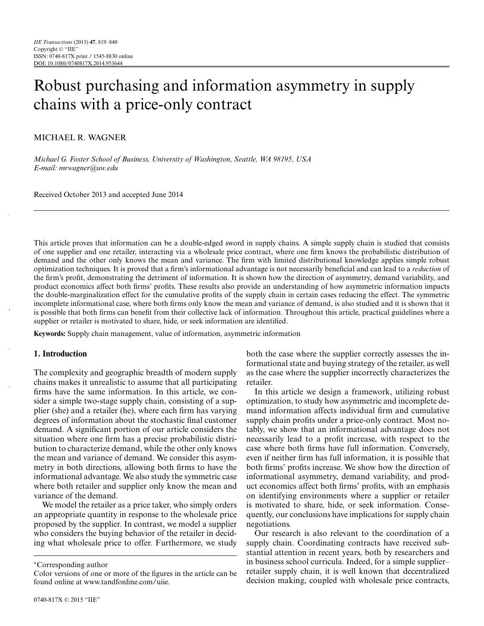# Robust purchasing and information asymmetry in supply chains with a price-only contract

# MICHAEL R. WAGNER

*Michael G. Foster School of Business, University of Washington, Seattle, WA 98195, USA E-mail: mrwagner@uw.edu*

Received October 2013 and accepted June 2014

This article proves that information can be a double-edged sword in supply chains. A simple supply chain is studied that consists of one supplier and one retailer, interacting via a wholesale price contract, where one firm knows the probabilistic distribution of demand and the other only knows the mean and variance. The firm with limited distributional knowledge applies simple robust optimization techniques. It is proved that a firm's informational advantage is not necessarily beneficial and can lead to a *reduction* of the firm's profit, demonstrating the detriment of information. It is shown how the direction of asymmetry, demand variability, and product economics affect both firms' profits. These results also provide an understanding of how asymmetric information impacts the double-marginalization effect for the cumulative profits of the supply chain in certain cases reducing the effect. The symmetric incomplete informational case, where both firms only know the mean and variance of demand, is also studied and it is shown that it is possible that both firms can benefit from their collective lack of information. Throughout this article, practical guidelines where a supplier or retailer is motivated to share, hide, or seek information are identified.

**Keywords:** Supply chain management, value of information, asymmetric information

## **1. Introduction**

The complexity and geographic breadth of modern supply chains makes it unrealistic to assume that all participating firms have the same information. In this article, we consider a simple two-stage supply chain, consisting of a supplier (she) and a retailer (he), where each firm has varying degrees of information about the stochastic final customer demand. A significant portion of our article considers the situation where one firm has a precise probabilistic distribution to characterize demand, while the other only knows the mean and variance of demand. We consider this asymmetry in both directions, allowing both firms to have the informational advantage. We also study the symmetric case where both retailer and supplier only know the mean and variance of the demand.

We model the retailer as a price taker, who simply orders an appropriate quantity in response to the wholesale price proposed by the supplier. In contrast, we model a supplier who considers the buying behavior of the retailer in deciding what wholesale price to offer. Furthermore, we study

both the case where the supplier correctly assesses the informational state and buying strategy of the retailer, as well as the case where the supplier incorrectly characterizes the retailer.

In this article we design a framework, utilizing robust optimization, to study how asymmetric and incomplete demand information affects individual firm and cumulative supply chain profits under a price-only contract. Most notably, we show that an informational advantage does not necessarily lead to a profit increase, with respect to the case where both firms have full information. Conversely, even if neither firm has full information, it is possible that both firms' profits increase. We show how the direction of informational asymmetry, demand variability, and product economics affect both firms' profits, with an emphasis on identifying environments where a supplier or retailer is motivated to share, hide, or seek information. Consequently, our conclusions have implications for supply chain negotiations.

Our research is also relevant to the coordination of a supply chain. Coordinating contracts have received substantial attention in recent years, both by researchers and in business school curricula. Indeed, for a simple supplier– retailer supply chain, it is well known that decentralized decision making, coupled with wholesale price contracts,

<sup>∗</sup>Corresponding author

Color versions of one or more of the figures in the article can be found online at www.tandfonline.com/uiie.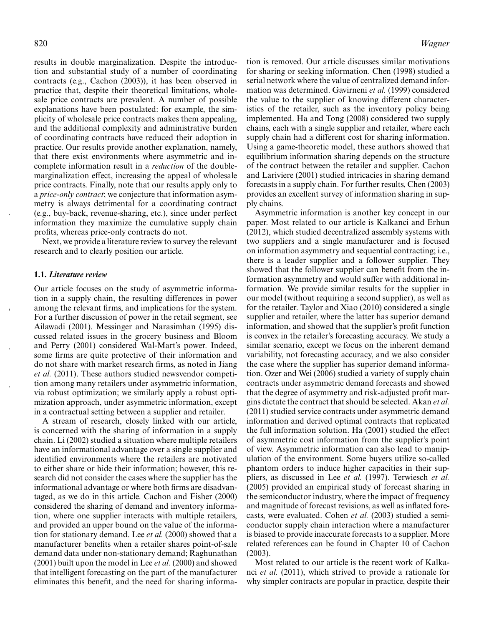results in double marginalization. Despite the introduction and substantial study of a number of coordinating contracts (e.g., Cachon (2003)), it has been observed in practice that, despite their theoretical limitations, wholesale price contracts are prevalent. A number of possible explanations have been postulated: for example, the simplicity of wholesale price contracts makes them appealing, and the additional complexity and administrative burden of coordinating contracts have reduced their adoption in practice. Our results provide another explanation, namely, that there exist environments where asymmetric and incomplete information result in a *reduction* of the doublemarginalization effect, increasing the appeal of wholesale price contracts. Finally, note that our results apply only to a *price-only contract*; we conjecture that information asymmetry is always detrimental for a coordinating contract (e.g., buy-back, revenue-sharing, etc.), since under perfect information they maximize the cumulative supply chain profits, whereas price-only contracts do not.

Next, we provide a literature review to survey the relevant research and to clearly position our article.

#### **1.1.** *Literature review*

Our article focuses on the study of asymmetric information in a supply chain, the resulting differences in power among the relevant firms, and implications for the system. For a further discussion of power in the retail segment, see Ailawadi (2001). Messinger and Narasimhan (1995) discussed related issues in the grocery business and Bloom and Perry (2001) considered Wal-Mart's power. Indeed, some firms are quite protective of their information and do not share with market research firms, as noted in Jiang *et al.* (2011). These authors studied newsvendor competition among many retailers under asymmetric information, via robust optimization; we similarly apply a robust optimization approach, under asymmetric information, except in a contractual setting between a supplier and retailer.

A stream of research, closely linked with our article, is concerned with the sharing of information in a supply chain. Li (2002) studied a situation where multiple retailers have an informational advantage over a single supplier and identified environments where the retailers are motivated to either share or hide their information; however, this research did not consider the cases where the supplier has the informational advantage or where both firms are disadvantaged, as we do in this article. Cachon and Fisher (2000) considered the sharing of demand and inventory information, where one supplier interacts with multiple retailers, and provided an upper bound on the value of the information for stationary demand. Lee *et al.* (2000) showed that a manufacturer benefits when a retailer shares point-of-sale demand data under non-stationary demand; Raghunathan (2001) built upon the model in Lee *et al.* (2000) and showed that intelligent forecasting on the part of the manufacturer eliminates this benefit, and the need for sharing informa-

tion is removed. Our article discusses similar motivations for sharing or seeking information. Chen (1998) studied a serial network where the value of centralized demand information was determined. Gavirneni *et al.* (1999) considered the value to the supplier of knowing different characteristics of the retailer, such as the inventory policy being implemented. Ha and Tong (2008) considered two supply chains, each with a single supplier and retailer, where each supply chain had a different cost for sharing information. Using a game-theoretic model, these authors showed that equilibrium information sharing depends on the structure of the contract between the retailer and supplier. Cachon and Lariviere (2001) studied intricacies in sharing demand forecasts in a supply chain. For further results, Chen (2003) provides an excellent survey of information sharing in supply chains.

Asymmetric information is another key concept in our paper. Most related to our article is Kalkanci and Erhun (2012), which studied decentralized assembly systems with two suppliers and a single manufacturer and is focused on information asymmetry and sequential contracting; i.e., there is a leader supplier and a follower supplier. They showed that the follower supplier can benefit from the information asymmetry and would suffer with additional information. We provide similar results for the supplier in our model (without requiring a second supplier), as well as for the retailer. Taylor and Xiao (2010) considered a single supplier and retailer, where the latter has superior demand information, and showed that the supplier's profit function is convex in the retailer's forecasting accuracy. We study a similar scenario, except we focus on the inherent demand variability, not forecasting accuracy, and we also consider the case where the supplier has superior demand information. Ozer and Wei (2006) studied a variety of supply chain contracts under asymmetric demand forecasts and showed that the degree of asymmetry and risk-adjusted profit margins dictate the contract that should be selected. Akan *et al.* (2011) studied service contracts under asymmetric demand information and derived optimal contracts that replicated the full information solution. Ha (2001) studied the effect of asymmetric cost information from the supplier's point of view. Asymmetric information can also lead to manipulation of the environment. Some buyers utilize so-called phantom orders to induce higher capacities in their suppliers, as discussed in Lee *et al.* (1997). Terwiesch *et al.* (2005) provided an empirical study of forecast sharing in the semiconductor industry, where the impact of frequency and magnitude of forecast revisions, as well as inflated forecasts, were evaluated. Cohen *et al.* (2003) studied a semiconductor supply chain interaction where a manufacturer is biased to provide inaccurate forecasts to a supplier. More related references can be found in Chapter 10 of Cachon (2003).

Most related to our article is the recent work of Kalkanci *et al.* (2011), which strived to provide a rationale for why simpler contracts are popular in practice, despite their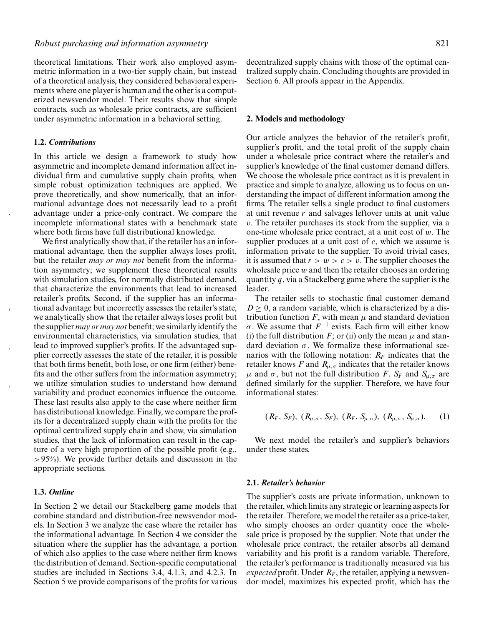theoretical limitations. Their work also employed asymmetric information in a two-tier supply chain, but instead of a theoretical analysis, they considered behavioral experiments where one player is human and the other is a computerized newsvendor model. Their results show that simple contracts, such as wholesale price contracts, are sufficient under asymmetric information in a behavioral setting.

## **1.2.** *Contributions*

In this article we design a framework to study how asymmetric and incomplete demand information affect individual firm and cumulative supply chain profits, when simple robust optimization techniques are applied. We prove theoretically, and show numerically, that an informational advantage does not necessarily lead to a profit advantage under a price-only contract. We compare the incomplete informational states with a benchmark state where both firms have full distributional knowledge.

We first analytically show that, if the retailer has an informational advantage, then the supplier always loses profit, but the retailer *may or may not* benefit from the information asymmetry; we supplement these theoretical results with simulation studies, for normally distributed demand, that characterize the environments that lead to increased retailer's profits. Second, if the supplier has an informational advantage but incorrectly assesses the retailer's state, we analytically show that the retailer always loses profit but the supplier *may or may not* benefit; we similarly identify the environmental characteristics, via simulation studies, that lead to improved supplier's profits. If the advantaged supplier correctly assesses the state of the retailer, it is possible that both firms benefit, both lose, or one firm (either) benefits and the other suffers from the information asymmetry; we utilize simulation studies to understand how demand variability and product economics influence the outcome. These last results also apply to the case where neither firm has distributional knowledge. Finally, we compare the profits for a decentralized supply chain with the profits for the optimal centralized supply chain and show, via simulation studies, that the lack of information can result in the capture of a very high proportion of the possible profit (e.g.,  $>95\%$ ). We provide further details and discussion in the appropriate sections.

#### **1.3.** *Outline*

In Section 2 we detail our Stackelberg game models that combine standard and distribution-free newsvendor models. In Section 3 we analyze the case where the retailer has the informational advantage. In Section 4 we consider the situation where the supplier has the advantage, a portion of which also applies to the case where neither firm knows the distribution of demand. Section-specific computational studies are included in Sections 3.4, 4.1.3, and 4.2.3. In Section 5 we provide comparisons of the profits for various

decentralized supply chains with those of the optimal centralized supply chain. Concluding thoughts are provided in Section 6. All proofs appear in the Appendix.

#### **2. Models and methodology**

Our article analyzes the behavior of the retailer's profit, supplier's profit, and the total profit of the supply chain under a wholesale price contract where the retailer's and supplier's knowledge of the final customer demand differs. We choose the wholesale price contract as it is prevalent in practice and simple to analyze, allowing us to focus on understanding the impact of different information among the firms. The retailer sells a single product to final customers at unit revenue *r* and salvages leftover units at unit value  $v$ . The retailer purchases its stock from the supplier, via a one-time wholesale price contract, at a unit cost of  $w$ . The supplier produces at a unit cost of *c*, which we assume is information private to the supplier. To avoid trivial cases, it is assumed that  $r > w > c > v$ . The supplier chooses the wholesale price  $w$  and then the retailer chooses an ordering quantity *q*, via a Stackelberg game where the supplier is the leader.

The retailer sells to stochastic final customer demand  $D \geq 0$ , a random variable, which is characterized by a distribution function  $F$ , with mean  $\mu$  and standard deviation σ. We assume that *F*−<sup>1</sup> exists. Each firm will either know (i) the full distribution *F*; or (ii) only the mean  $\mu$  and standard deviation  $\sigma$ . We formalize these informational scenarios with the following notation:  $R_F$  indicates that the retailer knows *F* and  $R_{\mu,\sigma}$  indicates that the retailer knows  $\mu$  and  $\sigma$ , but not the full distribution *F*. *S<sub>F</sub>* and *S<sub>µ,* $\sigma$  are</sub> defined similarly for the supplier. Therefore, we have four informational states:

$$
(R_F, S_F), (R_{\mu,\sigma}, S_F), (R_F, S_{\mu,\sigma}), (R_{\mu,\sigma}, S_{\mu,\sigma}).
$$
 (1)

We next model the retailer's and supplier's behaviors under these states.

## **2.1.** *Retailer's behavior*

The supplier's costs are private information, unknown to the retailer, which limits any strategic or learning aspects for the retailer. Therefore, we model the retailer as a price-taker, who simply chooses an order quantity once the wholesale price is proposed by the supplier. Note that under the wholesale price contract, the retailer absorbs all demand variability and his profit is a random variable. Therefore, the retailer's performance is traditionally measured via his *expected* profit. Under  $R_F$ , the retailer, applying a newsvendor model, maximizes his expected profit, which has the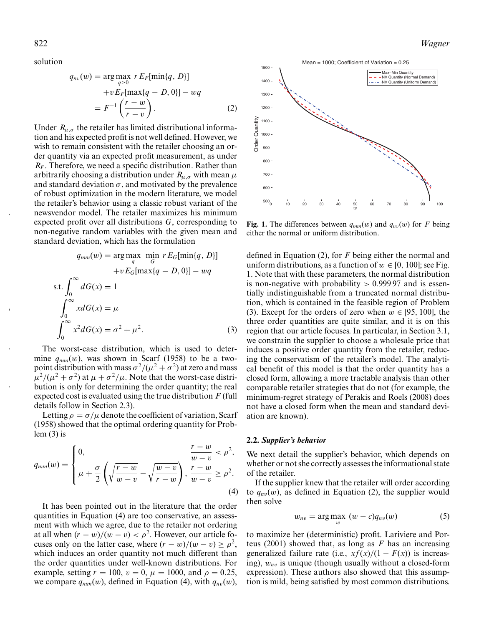solution

$$
q_{nv}(w) = \underset{q \ge 0}{\arg \max} r E_F[\min\{q, D\}]
$$

$$
+ v E_F[\max\{q - D, 0\}] - wq
$$

$$
= F^{-1}\left(\frac{r - w}{r - v}\right).
$$
(2)

Under  $R_{\mu,\sigma}$  the retailer has limited distributional information and his expected profit is not well defined. However, we wish to remain consistent with the retailer choosing an order quantity via an expected profit measurement, as under *RF* . Therefore, we need a specific distribution. Rather than arbitrarily choosing a distribution under  $R_{\mu,\sigma}$  with mean  $\mu$ and standard deviation  $\sigma$ , and motivated by the prevalence of robust optimization in the modern literature, we model the retailer's behavior using a classic robust variant of the newsvendor model. The retailer maximizes his minimum expected profit over all distributions *G*, corresponding to non-negative random variables with the given mean and standard deviation, which has the formulation

$$
q_{mm}(w) = \underset{q}{\arg\max} \min_{G} r E_G[\min\{q, D\}]
$$

$$
+ v E_G[\max\{q - D, 0\}] - wq
$$
  
s.t. 
$$
\int_0^\infty dG(x) = 1
$$

$$
\int_0^\infty x dG(x) = \mu
$$

$$
\int_0^\infty x^2 dG(x) = \sigma^2 + \mu^2.
$$
(3)

The worst-case distribution, which is used to determine  $q_{mm}(w)$ , was shown in Scarf (1958) to be a twopoint distribution with mass  $\sigma^2/(\mu^2 + \sigma^2)$  at zero and mass  $\mu^2/(\mu^2 + \sigma^2)$  at  $\mu + \sigma^2/\mu$ . Note that the worst-case distribution is only for determining the order quantity; the real expected cost is evaluated using the true distribution *F* (full details follow in Section 2.3).

Letting  $\rho = \sigma / \mu$  denote the coefficient of variation, Scarf (1958) showed that the optimal ordering quantity for Problem  $(3)$  is

$$
q_{mm}(w) = \begin{cases} 0, & \frac{r-w}{w-v} < \rho^2, \\ \mu + \frac{\sigma}{2} \left( \sqrt{\frac{r-w}{w-v}} - \sqrt{\frac{w-v}{r-w}} \right), & \frac{r-w}{w-v} \ge \rho^2. \end{cases}
$$
(4)

It has been pointed out in the literature that the order quantities in Equation (4) are too conservative, an assessment with which we agree, due to the retailer not ordering at all when  $(r - w)/(w - v) < \rho^2$ . However, our article focuses only on the latter case, where  $(r - w)/(w - v) \ge \rho^2$ , which induces an order quantity not much different than the order quantities under well-known distributions. For example, setting  $r = 100$ ,  $v = 0$ ,  $\mu = 1000$ , and  $\rho = 0.25$ , we compare  $q_{mm}(w)$ , defined in Equation (4), with  $q_{nv}(w)$ ,



**Fig. 1.** The differences between  $q_{mm}(w)$  and  $q_{nv}(w)$  for *F* being either the normal or uniform distribution.

defined in Equation (2), for *F* being either the normal and uniform distributions, as a function of  $w \in [0, 100]$ ; see Fig. 1. Note that with these parameters, the normal distribution is non-negative with probability  $> 0.99997$  and is essentially indistinguishable from a truncated normal distribution, which is contained in the feasible region of Problem (3). Except for the orders of zero when  $w \in [95, 100]$ , the three order quantities are quite similar, and it is on this region that our article focuses. In particular, in Section 3.1, we constrain the supplier to choose a wholesale price that induces a positive order quantity from the retailer, reducing the conservatism of the retailer's model. The analytical benefit of this model is that the order quantity has a closed form, allowing a more tractable analysis than other comparable retailer strategies that do not (for example, the minimum-regret strategy of Perakis and Roels (2008) does not have a closed form when the mean and standard deviation are known).

#### **2.2.** *Supplier's behavior*

We next detail the supplier's behavior, which depends on whether or not she correctly assesses the informational state of the retailer.

If the supplier knew that the retailer will order according to  $q_{nv}(w)$ , as defined in Equation (2), the supplier would then solve

$$
w_{nv} = \arg\max_{w} (w - c) q_{nv}(w) \tag{5}
$$

to maximize her (deterministic) profit. Lariviere and Porteus (2001) showed that, as long as *F* has an increasing generalized failure rate (i.e.,  $xf(x)/(1 - F(x))$  is increasing), w*<sup>n</sup>*<sup>v</sup> is unique (though usually without a closed-form expression). These authors also showed that this assumption is mild, being satisfied by most common distributions.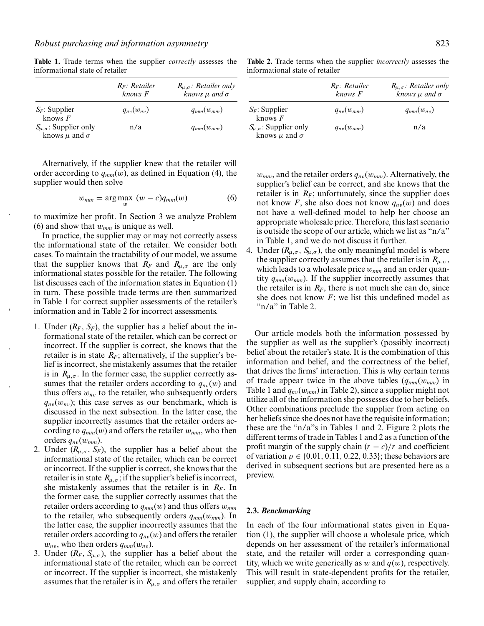|                                                              | $R_F$ : Retailer<br>knows F | $R_{\mu,\sigma}$ : Retailer only<br>knows $\mu$ and $\sigma$ |
|--------------------------------------------------------------|-----------------------------|--------------------------------------------------------------|
| $S_F$ : Supplier<br>knows $F$                                | $q_{nv}(w_{nv})$            | $q_{mm}(w_{mm})$                                             |
| $S_{\mu,\sigma}$ : Supplier only<br>knows $\mu$ and $\sigma$ | n/a                         | $q_{mm}(w_{mm})$                                             |

**Table 1.** Trade terms when the supplier *correctly* assesses the informational state of retailer

Alternatively, if the supplier knew that the retailer will order according to  $q_{mm}(w)$ , as defined in Equation (4), the supplier would then solve

$$
w_{mm} = \arg\max_{w} (w - c) q_{mm}(w) \tag{6}
$$

to maximize her profit. In Section 3 we analyze Problem (6) and show that w*mm* is unique as well.

In practice, the supplier may or may not correctly assess the informational state of the retailer. We consider both cases. To maintain the tractability of our model, we assume that the supplier knows that  $R_F$  and  $R_{\mu,\sigma}$  are the only informational states possible for the retailer. The following list discusses each of the information states in Equation (1) in turn. These possible trade terms are then summarized in Table 1 for correct supplier assessments of the retailer's information and in Table 2 for incorrect assessments.

- 1. Under  $(R_F, S_F)$ , the supplier has a belief about the informational state of the retailer, which can be correct or incorrect. If the supplier is correct, she knows that the retailer is in state  $R_F$ ; alternatively, if the supplier's belief is incorrect, she mistakenly assumes that the retailer is in  $R_{\mu,\sigma}$ . In the former case, the supplier correctly assumes that the retailer orders according to  $q_{nv}(w)$  and thus offers  $w_{nv}$  to the retailer, who subsequently orders  $q_{nv}(w_{nv})$ ; this case serves as our benchmark, which is discussed in the next subsection. In the latter case, the supplier incorrectly assumes that the retailer orders according to  $q_{mm}(w)$  and offers the retailer  $w_{mm}$ , who then orders *qn*v(w*mm*).
- 2. Under  $(R_{\mu,\sigma}, S_F)$ , the supplier has a belief about the informational state of the retailer, which can be correct or incorrect. If the supplier is correct, she knows that the retailer is in state  $R_{\mu,\sigma}$ ; if the supplier's belief is incorrect, she mistakenly assumes that the retailer is in *RF* . In the former case, the supplier correctly assumes that the retailer orders according to  $q_{mm}(w)$  and thus offers  $w_{mm}$ to the retailer, who subsequently orders  $q_{mm}(w_{mm})$ . In the latter case, the supplier incorrectly assumes that the retailer orders according to  $q_{nv}(w)$  and offers the retailer  $w_{nv}$ , who then orders  $q_{mm}(w_{nv})$ .
- 3. Under  $(R_F, S_{\mu,\sigma})$ , the supplier has a belief about the informational state of the retailer, which can be correct or incorrect. If the supplier is incorrect, she mistakenly assumes that the retailer is in  $R_{\mu,\sigma}$  and offers the retailer

**Table 2.** Trade terms when the supplier *incorrectly* assesses the informational state of retailer

|                                                              | $R_F$ : Retailer<br>knows F | $R_{\mu,\sigma}$ : Retailer only<br>knows $\mu$ and $\sigma$ |
|--------------------------------------------------------------|-----------------------------|--------------------------------------------------------------|
| $S_F$ : Supplier<br>knows $F$                                | $q_{nv}(w_{mm})$            | $q_{mm}(w_{nv})$                                             |
| $S_{\mu,\sigma}$ : Supplier only<br>knows $\mu$ and $\sigma$ | $q_{nv}(w_{mm})$            | n/a                                                          |

 $w_{mm}$ , and the retailer orders  $q_{nv}(w_{mm})$ . Alternatively, the supplier's belief can be correct, and she knows that the retailer is in  $R_F$ ; unfortunately, since the supplier does not know  $F$ , she also does not know  $q_{nv}(w)$  and does not have a well-defined model to help her choose an appropriate wholesale price. Therefore, this last scenario is outside the scope of our article, which we list as "n/a" in Table 1, and we do not discuss it further.

4. Under  $(R_{\mu,\sigma}, S_{\mu,\sigma})$ , the only meaningful model is where the supplier correctly assumes that the retailer is in  $R_{\mu,\sigma}$ , which leads to a wholesale price w*mm* and an order quantity  $q_{mm}(w_{mm})$ . If the supplier incorrectly assumes that the retailer is in  $R_F$ , there is not much she can do, since she does not know *F*; we list this undefined model as "n/a" in Table 2.

Our article models both the information possessed by the supplier as well as the supplier's (possibly incorrect) belief about the retailer's state. It is the combination of this information and belief, and the correctness of the belief, that drives the firms' interaction. This is why certain terms of trade appear twice in the above tables (*qmm*(w*mm*) in Table 1 and *qn*v(w*mm*) in Table 2), since a supplier might not utilize all of the information she possesses due to her beliefs. Other combinations preclude the supplier from acting on her beliefs since she does not have the requisite information; these are the "n/a"s in Tables 1 and 2. Figure 2 plots the different terms of trade in Tables 1 and 2 as a function of the profit margin of the supply chain  $(r - c)/r$  and coefficient of variation  $\rho \in \{0.01, 0.11, 0.22, 0.33\}$ ; these behaviors are derived in subsequent sections but are presented here as a preview.

# **2.3.** *Benchmarking*

In each of the four informational states given in Equation (1), the supplier will choose a wholesale price, which depends on her assessment of the retailer's informational state, and the retailer will order a corresponding quantity, which we write generically as w and *q*(w), respectively. This will result in state-dependent profits for the retailer, supplier, and supply chain, according to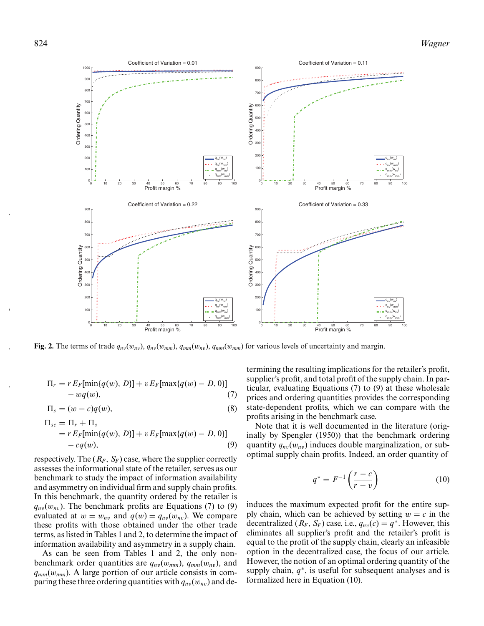

**Fig. 2.** The terms of trade  $q_{nv}(w_{nv})$ ,  $q_{nv}(w_{mm})$ ,  $q_{mm}(w_{nv})$ ,  $q_{mm}(w_{mm})$  for various levels of uncertainty and margin.

$$
\Pi_r = r E_F[\min\{q(w), D\}] + v E_F[\max\{q(w) - D, 0\}] - wq(w),
$$
\n(7)

$$
\Pi_s = (w - c)q(w),\tag{8}
$$

$$
\Pi_{sc} = \Pi_r + \Pi_s \n= r E_F[\min\{q(w), D\}] + v E_F[\max\{q(w) - D, 0\}] \n- cq(w),
$$
\n(9)

respectively. The  $(R_F, S_F)$  case, where the supplier correctly assesses the informational state of the retailer, serves as our benchmark to study the impact of information availability and asymmetry on individual firm and supply chain profits. In this benchmark, the quantity ordered by the retailer is  $q_{nv}(w_{nv})$ . The benchmark profits are Equations (7) to (9) evaluated at  $w = w_{nv}$  and  $q(w) = q_{nv}(w_{nv})$ . We compare these profits with those obtained under the other trade terms, as listed in Tables 1 and 2, to determine the impact of information availability and asymmetry in a supply chain.

As can be seen from Tables 1 and 2, the only nonbenchmark order quantities are  $q_{nv}(w_{mm})$ ,  $q_{mm}(w_{nv})$ , and *qmm*(w*mm*). A large portion of our article consists in comparing these three ordering quantities with  $q_{nv}(w_{nv})$  and de-

termining the resulting implications for the retailer's profit, supplier's profit, and total profit of the supply chain. In particular, evaluating Equations (7) to (9) at these wholesale prices and ordering quantities provides the corresponding state-dependent profits, which we can compare with the profits arising in the benchmark case.

Note that it is well documented in the literature (originally by Spengler (1950)) that the benchmark ordering quantity  $q_{nv}(w_{nv})$  induces double marginalization, or suboptimal supply chain profits. Indeed, an order quantity of

$$
q^* = F^{-1}\left(\frac{r-c}{r-v}\right) \tag{10}
$$

induces the maximum expected profit for the entire supply chain, which can be achieved by setting  $w = c$  in the decentralized ( $R_F$ ,  $S_F$ ) case, i.e.,  $q_{nv}(c) = q^*$ . However, this eliminates all supplier's profit and the retailer's profit is equal to the profit of the supply chain, clearly an infeasible option in the decentralized case, the focus of our article. However, the notion of an optimal ordering quantity of the supply chain,  $q^*$ , is useful for subsequent analyses and is formalized here in Equation (10).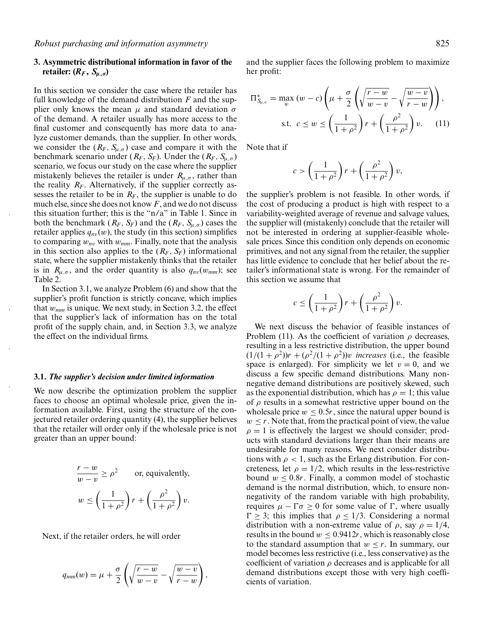# **3. Asymmetric distributional information in favor of the retailer:**  $(R_F, S_{\mu,\sigma})$

In this section we consider the case where the retailer has full knowledge of the demand distribution *F* and the supplier only knows the mean  $\mu$  and standard deviation  $\sigma$ of the demand. A retailer usually has more access to the final customer and consequently has more data to analyze customer demands, than the supplier. In other words, we consider the  $(R_F, S_{\mu,\sigma})$  case and compare it with the benchmark scenario under  $(R_F, S_F)$ . Under the  $(R_F, S_{\mu,\sigma})$ scenario, we focus our study on the case where the supplier mistakenly believes the retailer is under  $R_{\mu,\sigma}$ , rather than the reality  $R_F$ . Alternatively, if the supplier correctly assesses the retailer to be in  $R_F$ , the supplier is unable to do much else, since she does not know *F*, and we do not discuss this situation further; this is the "n/a" in Table 1. Since in both the benchmark  $(R_F, S_F)$  and the  $(R_F, S_{\mu,\sigma})$  cases the retailer applies  $q_{nv}(w)$ , the study (in this section) simplifies to comparing  $w_{nv}$  with  $w_{mm}$ . Finally, note that the analysis in this section also applies to the  $(R_F, S_F)$  informational state, where the supplier mistakenly thinks that the retailer is in  $R_{\mu,\sigma}$ , and the order quantity is also  $q_{nv}(w_{mm})$ ; see Table 2.

In Section 3.1, we analyze Problem (6) and show that the supplier's profit function is strictly concave, which implies that w*mm* is unique. We next study, in Section 3.2, the effect that the supplier's lack of information has on the total profit of the supply chain, and, in Section 3.3, we analyze the effect on the individual firms.

#### **3.1.** *The supplier's decision under limited information*

We now describe the optimization problem the supplier faces to choose an optimal wholesale price, given the information available. First, using the structure of the conjectured retailer ordering quantity (4), the supplier believes that the retailer will order only if the wholesale price is not greater than an upper bound:

$$
\frac{r - w}{w - v} \ge \rho^2 \qquad \text{or, equivalently,}
$$

$$
w \le \left(\frac{1}{1 + \rho^2}\right) r + \left(\frac{\rho^2}{1 + \rho^2}\right) v.
$$

Next, if the retailer orders, he will order

$$
q_{mm}(w) = \mu + \frac{\sigma}{2} \left( \sqrt{\frac{r-w}{w-v}} - \sqrt{\frac{w-v}{r-w}} \right),\,
$$

and the supplier faces the following problem to maximize her profit:

$$
\Pi_{S_{\mu,\sigma}}^* = \max_{w} (w - c) \left( \mu + \frac{\sigma}{2} \left( \sqrt{\frac{r - w}{w - v}} - \sqrt{\frac{w - v}{r - w}} \right) \right),
$$
  
s.t.  $c \le w \le \left( \frac{1}{1 + \rho^2} \right) r + \left( \frac{\rho^2}{1 + \rho^2} \right) v.$  (11)

Note that if

$$
c > \left(\frac{1}{1+\rho^2}\right)r + \left(\frac{\rho^2}{1+\rho^2}\right)v,
$$

the supplier's problem is not feasible. In other words, if the cost of producing a product is high with respect to a variability-weighted average of revenue and salvage values, the supplier will (mistakenly) conclude that the retailer will not be interested in ordering at supplier-feasible wholesale prices. Since this condition only depends on economic primitives, and not any signal from the retailer, the supplier has little evidence to conclude that her belief about the retailer's informational state is wrong. For the remainder of this section we assume that

$$
c \le \left(\frac{1}{1+\rho^2}\right)r + \left(\frac{\rho^2}{1+\rho^2}\right)v.
$$

We next discuss the behavior of feasible instances of Problem (11). As the coefficient of variation  $\rho$  decreases, resulting in a less restrictive distribution, the upper bound  $(1/(1+\rho^2))r + (\rho^2/(1+\rho^2))v$  *increases* (i.e., the feasible space is enlarged). For simplicity we let  $v = 0$ , and we discuss a few specific demand distributions. Many nonnegative demand distributions are positively skewed, such as the exponential distribution, which has  $\rho = 1$ ; this value of  $\rho$  results in a somewhat restrictive upper bound on the wholesale price  $w \le 0.5r$ , since the natural upper bound is  $w \le r$ . Note that, from the practical point of view, the value  $\rho = 1$  is effectively the largest we should consider; products with standard deviations larger than their means are undesirable for many reasons. We next consider distributions with  $\rho < 1$ , such as the Erlang distribution. For concreteness, let  $\rho = 1/2$ , which results in the less-restrictive bound  $w \leq 0.8r$ . Finally, a common model of stochastic demand is the normal distribution, which, to ensure nonnegativity of the random variable with high probability, requires  $\mu - \Gamma \sigma \geq 0$  for some value of  $\Gamma$ , where usually  $\Gamma \geq 3$ ; this implies that  $\rho \leq 1/3$ . Considering a normal distribution with a non-extreme value of  $\rho$ , say  $\rho = 1/4$ , results in the bound  $w \leq 0.9412r$ , which is reasonably close to the standard assumption that  $w \leq r$ . In summary, our model becomes less restrictive (i.e., less conservative) as the coefficient of variation  $\rho$  decreases and is applicable for all demand distributions except those with very high coefficients of variation.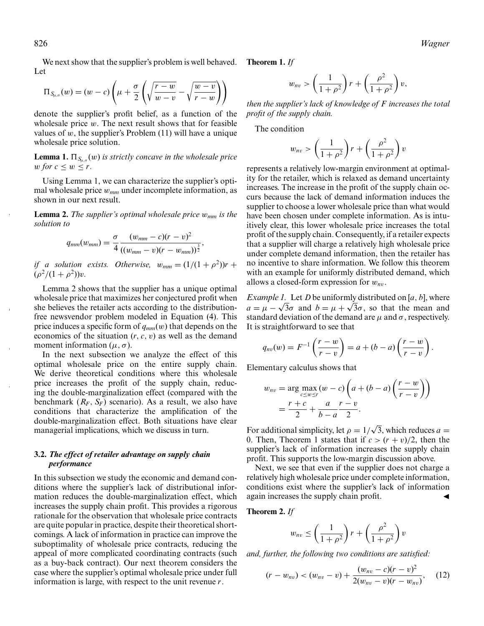We next show that the supplier's problem is well behaved. **Theorem 1.** *If* Let

$$
\Pi_{S_{\mu,\sigma}}(w) = (w-c)\left(\mu + \frac{\sigma}{2}\left(\sqrt{\frac{r-w}{w-v}} - \sqrt{\frac{w-v}{r-w}}\right)\right)
$$

denote the supplier's profit belief, as a function of the wholesale price  $w$ . The next result shows that for feasible values of  $w$ , the supplier's Problem (11) will have a unique wholesale price solution.

**Lemma 1.**  $\Pi_{S_{u,\sigma}}(w)$  *is strictly concave in the wholesale price* w for  $c \leq w \leq r$ .

Using Lemma 1, we can characterize the supplier's optimal wholesale price w*mm* under incomplete information, as shown in our next result.

**Lemma 2.** *The supplier's optimal wholesale price* w*mm is the solution to*

$$
q_{mm}(w_{mm}) = \frac{\sigma}{4} \frac{(w_{mm} - c)(r - v)^2}{((w_{mm} - v)(r - w_{mm}))^{\frac{3}{2}}},
$$

*if a solution exists. Otherwise,*  $w_{mm} = (1/(1+\rho^2))r$  +  $(\rho^2/(1+\rho^2))v$ .

Lemma 2 shows that the supplier has a unique optimal wholesale price that maximizes her conjectured profit when she believes the retailer acts according to the distributionfree newsvendor problem modeled in Equation (4). This price induces a specific form of  $q_{mm}(w)$  that depends on the economics of the situation  $(r, c, v)$  as well as the demand moment information ( $\mu$ ,  $\sigma$ ).

In the next subsection we analyze the effect of this optimal wholesale price on the entire supply chain. We derive theoretical conditions where this wholesale price increases the profit of the supply chain, reducing the double-marginalization effect (compared with the benchmark  $(R_F, S_F)$  scenario). As a result, we also have conditions that characterize the amplification of the double-marginalization effect. Both situations have clear managerial implications, which we discuss in turn.

## **3.2.** *The effect of retailer advantage on supply chain performance*

In this subsection we study the economic and demand conditions where the supplier's lack of distributional information reduces the double-marginalization effect, which increases the supply chain profit. This provides a rigorous rationale for the observation that wholesale price contracts are quite popular in practice, despite their theoretical shortcomings. A lack of information in practice can improve the suboptimality of wholesale price contracts, reducing the appeal of more complicated coordinating contracts (such as a buy-back contract). Our next theorem considers the case where the supplier's optimal wholesale price under full information is large, with respect to the unit revenue *r*.

$$
w_{nv} > \left(\frac{1}{1+\rho^2}\right)r + \left(\frac{\rho^2}{1+\rho^2}\right)v,
$$

*then the supplier's lack of knowledge of F increases the total profit of the supply chain.*

The condition

$$
w_{nv} > \left(\frac{1}{1+\rho^2}\right)r + \left(\frac{\rho^2}{1+\rho^2}\right)v
$$

represents a relatively low-margin environment at optimality for the retailer, which is relaxed as demand uncertainty increases. The increase in the profit of the supply chain occurs because the lack of demand information induces the supplier to choose a lower wholesale price than what would have been chosen under complete information. As is intuitively clear, this lower wholesale price increases the total profit of the supply chain. Consequently, if a retailer expects that a supplier will charge a relatively high wholesale price under complete demand information, then the retailer has no incentive to share information. We follow this theorem with an example for uniformly distributed demand, which allows a closed-form expression for w*<sup>n</sup>*v.

*Example 1.* Let *D* be uniformly distributed on [*a*, *b*], where  $a = \mu - \sqrt{3}\sigma$  and  $b = \mu + \sqrt{3}\sigma$ , so that the mean and standard deviation of the demand are  $\mu$  and  $\sigma$ , respectively. It is straightforward to see that

$$
q_{nv}(w) = F^{-1}\left(\frac{r-w}{r-v}\right) = a + (b-a)\left(\frac{r-w}{r-v}\right).
$$

Elementary calculus shows that

$$
w_{nv} = \arg\max_{c \le w \le r} (w - c) \left( a + (b - a) \left( \frac{r - w}{r - v} \right) \right)
$$
  
=  $\frac{r + c}{2} + \frac{a}{b - a} \frac{r - v}{2}$ .

For additional simplicity, let  $\rho = 1/\sqrt{3}$ , which reduces  $a =$ 0. Then, Theorem 1 states that if  $c > (r + v)/2$ , then the supplier's lack of information increases the supply chain profit. This supports the low-margin discussion above.

Next, we see that even if the supplier does not charge a relatively high wholesale price under complete information, conditions exist where the supplier's lack of information again increases the supply chain profit.

# **Theorem 2.** *If*

$$
w_{nv} \le \left(\frac{1}{1+\rho^2}\right)r + \left(\frac{\rho^2}{1+\rho^2}\right)v
$$

*and, further, the following two conditions are satisfied:*

$$
(r-w_{nv}) < (w_{nv}-v) + \frac{(w_{nv}-c)(r-v)^2}{2(w_{nv}-v)(r-w_{nv})}, \quad (12)
$$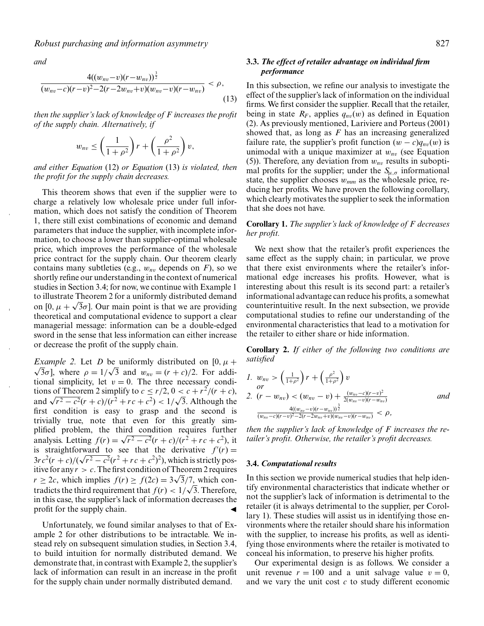*and*

$$
\frac{4((w_{nv}-v)(r-w_{nv}))^{\frac{3}{2}}}{(w_{nv}-c)(r-v)^2-2(r-2w_{nv}+v)(w_{nv}-v)(r-w_{nv})}<\rho,
$$
\n(13)

*then the supplier's lack of knowledge of F increases the profit of the supply chain. Alternatively, if*

$$
w_{nv} \leq \left(\frac{1}{1+\rho^2}\right)r + \left(\frac{\rho^2}{1+\rho^2}\right)v,
$$

*and either Equation* (12) *or Equation* (13) *is violated, then the profit for the supply chain decreases.*

This theorem shows that even if the supplier were to charge a relatively low wholesale price under full information, which does not satisfy the condition of Theorem 1, there still exist combinations of economic and demand parameters that induce the supplier, with incomplete information, to choose a lower than supplier-optimal wholesale price, which improves the performance of the wholesale price contract for the supply chain. Our theorem clearly contains many subtleties (e.g.,  $w_{nv}$  depends on  $F$ ), so we shortly refine our understanding in the context of numerical studies in Section 3.4; for now, we continue with Example 1 to illustrate Theorem 2 for a uniformly distributed demand on [0,  $\mu + \sqrt{3}\sigma$ ]. Our main point is that we are providing theoretical and computational evidence to support a clear managerial message: information can be a double-edged sword in the sense that less information can either increase or decrease the profit of the supply chain.

 $\sqrt{3}\sigma$ ], where  $ρ = 1/\sqrt{3}$  and  $w_{nv} = (r + c)/2$ . For addi-*Example 2.* Let *D* be uniformly distributed on  $[0, \mu +$ tional simplicity, let  $v = 0$ . The three necessary conditions of Theorem 2 simplify to  $c \leq r/2$ ,  $0 < c + r^2/(r + c)$ , and  $\sqrt{r^2 - c^2}(r + c)/(r^2 + rc + c^2) < 1/\sqrt{3}$ . Although the first condition is easy to grasp and the second is trivially true, note that even for this greatly simplified problem, the third condition requires further analysis. Letting  $f(r) = \sqrt{r^2 - c^2}(r + c)/(r^2 + rc + c^2)$ , it is straightforward to see that the derivative  $f'(r) =$  $3rc^2(r + c)/(\sqrt{r^2 - c^2}(r^2 + rc + c^2)^2)$ , which is strictly positive for any  $r > c$ . The first condition of Theorem 2 requires  $r \ge 2c$ , which implies  $f(r) \ge f(2c) = 3\sqrt{3}/7$ , which contradicts the third requirement that  $f(r) < 1/\sqrt{3}$ . Therefore, in this case, the supplier's lack of information decreases the profit for the supply chain. !

Unfortunately, we found similar analyses to that of Example 2 for other distributions to be intractable. We instead rely on subsequent simulation studies, in Section 3.4, to build intuition for normally distributed demand. We demonstrate that, in contrast with Example 2, the supplier's lack of information can result in an increase in the profit for the supply chain under normally distributed demand.

## **3.3.** *The effect of retailer advantage on individual firm performance*

In this subsection, we refine our analysis to investigate the effect of the supplier's lack of information on the individual firms. We first consider the supplier. Recall that the retailer, being in state  $R_F$ , applies  $q_{nv}(w)$  as defined in Equation (2). As previously mentioned, Lariviere and Porteus (2001) showed that, as long as *F* has an increasing generalized failure rate, the supplier's profit function  $(w - c)q_{nv}(w)$  is unimodal with a unique maximizer at w*<sup>n</sup>*<sup>v</sup> (see Equation (5)). Therefore, any deviation from  $w_{nv}$  results in suboptimal profits for the supplier; under the  $S_{\mu,\sigma}$  informational state, the supplier chooses  $w_{mm}$  as the wholesale price, reducing her profits. We have proven the following corollary, which clearly motivates the supplier to seek the information that she does not have.

**Corollary 1.** *The supplier's lack of knowledge of F decreases her profit.*

We next show that the retailer's profit experiences the same effect as the supply chain; in particular, we prove that there exist environments where the retailer's informational edge increases his profits. However, what is interesting about this result is its second part: a retailer's informational advantage can reduce his profits, a somewhat counterintuitive result. In the next subsection, we provide computational studies to refine our understanding of the environmental characteristics that lead to a motivation for the retailer to either share or hide information.

**Corollary 2.** *If either of the following two conditions are satisfied*

1. 
$$
w_{nv} > \left(\frac{1}{1+\rho^2}\right) r + \left(\frac{\rho^2}{1+\rho^2}\right) v
$$
  
\nor  
\n2.  $(r - w_{nv}) < (w_{nv} - v) + \frac{(w_{nv} - c)(r - v)^2}{2(w_{nv} - v)(r - w_{nv})}$   
\n $\frac{4((w_{nv} - v)(r - w_{nv}))^{\frac{3}{2}}}{(w_{nv} - c)(r - v)^2 - 2(r - 2w_{nv} + v)(w_{nv} - v)(r - w_{nv})} < \rho,$ 

*then the supplier's lack of knowledge of F increases the retailer's profit. Otherwise, the retailer's profit decreases.*

#### **3.4.** *Computational results*

In this section we provide numerical studies that help identify environmental characteristics that indicate whether or not the supplier's lack of information is detrimental to the retailer (it is always detrimental to the supplier, per Corollary 1). These studies will assist us in identifying those environments where the retailer should share his information with the supplier, to increase his profits, as well as identifying those environments where the retailer is motivated to conceal his information, to preserve his higher profits.

Our experimental design is as follows. We consider a unit revenue  $r = 100$  and a unit salvage value  $v = 0$ , and we vary the unit cost *c* to study different economic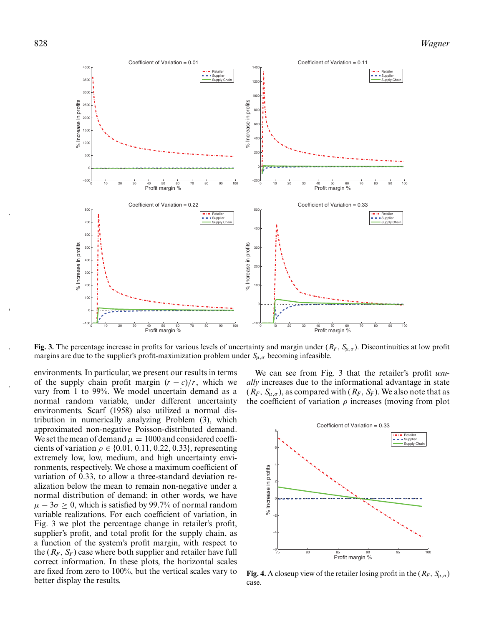

**Fig. 3.** The percentage increase in profits for various levels of uncertainty and margin under ( $R_F$ ,  $S_{\mu,\sigma}$ ). Discontinuities at low profit margins are due to the supplier's profit-maximization problem under *S*µ,<sup>σ</sup> becoming infeasible.

environments. In particular, we present our results in terms of the supply chain profit margin  $(r - c)/r$ , which we vary from 1 to 99%. We model uncertain demand as a normal random variable, under different uncertainty environments. Scarf (1958) also utilized a normal distribution in numerically analyzing Problem (3), which approximated non-negative Poisson-distributed demand. We set the mean of demand  $\mu = 1000$  and considered coefficients of variation  $\rho \in \{0.01, 0.11, 0.22, 0.33\}$ , representing extremely low, low, medium, and high uncertainty environments, respectively. We chose a maximum coefficient of variation of 0.33, to allow a three-standard deviation realization below the mean to remain non-negative under a normal distribution of demand; in other words, we have  $\mu - 3\sigma \ge 0$ , which is satisfied by 99.7% of normal random variable realizations. For each coefficient of variation, in Fig. 3 we plot the percentage change in retailer's profit, supplier's profit, and total profit for the supply chain, as a function of the system's profit margin, with respect to the  $(R_F, S_F)$  case where both supplier and retailer have full correct information. In these plots, the horizontal scales are fixed from zero to 100%, but the vertical scales vary to better display the results.

We can see from Fig. 3 that the retailer's profit *usually* increases due to the informational advantage in state  $(R_F, S_{\mu,\sigma})$ , as compared with  $(R_F, S_F)$ . We also note that as the coefficient of variation  $\rho$  increases (moving from plot



**Fig. 4.** A closeup view of the retailer losing profit in the  $(R_F, S_{\mu,\sigma})$ case.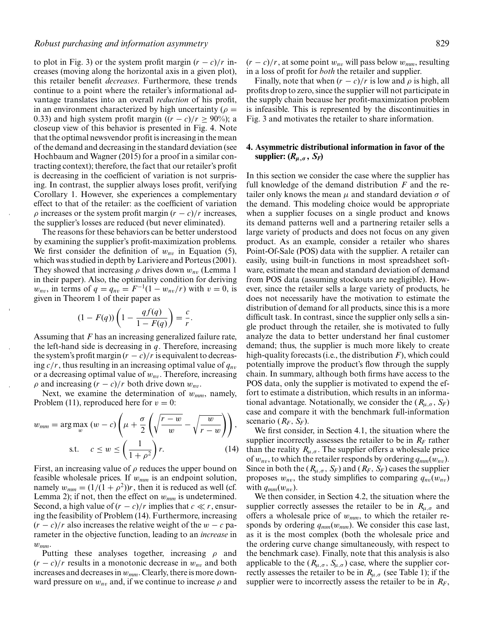to plot in Fig. 3) or the system profit margin  $(r - c)/r$  increases (moving along the horizontal axis in a given plot), this retailer benefit *decreases*. Furthermore, these trends continue to a point where the retailer's informational advantage translates into an overall *reduction* of his profit, in an environment characterized by high uncertainty ( $\rho =$ 0.33) and high system profit margin  $((r - c)/r > 90\%)$ ; a closeup view of this behavior is presented in Fig. 4. Note that the optimal newsvendor profit is increasing in the mean of the demand and decreasing in the standard deviation (see Hochbaum and Wagner (2015) for a proof in a similar contracting context); therefore, the fact that our retailer's profit is decreasing in the coefficient of variation is not surprising. In contrast, the supplier always loses profit, verifying Corollary 1. However, she experiences a complementary effect to that of the retailer: as the coefficient of variation  $\rho$  increases or the system profit margin  $(r - c)/r$  increases, the supplier's losses are reduced (but never eliminated).

The reasons for these behaviors can be better understood by examining the supplier's profit-maximization problems. We first consider the definition of  $w_{nv}$  in Equation (5), which was studied in depth by Lariviere and Porteus (2001). They showed that increasing  $\rho$  drives down  $w_{nv}$  (Lemma 1) in their paper). Also, the optimality condition for deriving  $w_{nv}$ , in terms of  $q = q_{nv} = F^{-1}(1 - w_{nv}/r)$  with  $v = 0$ , is given in Theorem 1 of their paper as

$$
(1 - F(q))\left(1 - \frac{qf(q)}{1 - F(q)}\right) = \frac{c}{r}.
$$

Assuming that *F* has an increasing generalized failure rate, the left-hand side is decreasing in *q*. Therefore, increasing the system's profit margin  $(r - c)/r$  is equivalent to decreasing  $c/r$ , thus resulting in an increasing optimal value of  $q_{nv}$ or a decreasing optimal value of w*<sup>n</sup>*v. Therefore, increasing  $\rho$  and increasing  $(r - c)/r$  both drive down  $w_{nv}$ .

Next, we examine the determination of w*mm*, namely, Problem (11), reproduced here for  $v = 0$ :

$$
w_{mm} = \arg \max_{w} (w - c) \left( \mu + \frac{\sigma}{2} \left( \sqrt{\frac{r - w}{w}} - \sqrt{\frac{w}{r - w}} \right) \right),
$$
  
s.t.  $c \le w \le \left( \frac{1}{1 + \rho^2} \right) r.$  (14)

First, an increasing value of  $\rho$  reduces the upper bound on feasible wholesale prices. If w*mm* is an endpoint solution, namely  $w_{mm} = (1/(1+\rho^2))r$ , then it is reduced as well (cf. Lemma 2); if not, then the effect on  $w_{mm}$  is undetermined. Second, a high value of  $(r - c)/r$  implies that  $c \ll r$ , ensuring the feasibility of Problem (14). Furthermore, increasing  $(r - c)/r$  also increases the relative weight of the  $w - c$  parameter in the objective function, leading to an *increase* in w*mm*.

Putting these analyses together, increasing  $\rho$  and  $(r - c)/r$  results in a monotonic decrease in  $w_{nv}$  and both increases and decreases in w*mm*. Clearly, there is more downward pressure on  $w_{nv}$  and, if we continue to increase  $\rho$  and

 $(r - c)/r$ , at some point  $w_{nv}$  will pass below  $w_{nm}$ , resulting in a loss of profit for *both* the retailer and supplier.

Finally, note that when  $(r - c)/r$  is low and  $\rho$  is high, all profits drop to zero, since the supplier will not participate in the supply chain because her profit-maximization problem is infeasible. This is represented by the discontinuities in Fig. 3 and motivates the retailer to share information.

# **4. Asymmetric distributional information in favor of the supplier:**  $(R_{\mu,\sigma}, S_F)$

In this section we consider the case where the supplier has full knowledge of the demand distribution *F* and the retailer only knows the mean  $\mu$  and standard deviation  $\sigma$  of the demand. This modeling choice would be appropriate when a supplier focuses on a single product and knows its demand patterns well and a partnering retailer sells a large variety of products and does not focus on any given product. As an example, consider a retailer who shares Point-Of-Sale (POS) data with the supplier. A retailer can easily, using built-in functions in most spreadsheet software, estimate the mean and standard deviation of demand from POS data (assuming stockouts are negligible). However, since the retailer sells a large variety of products, he does not necessarily have the motivation to estimate the distribution of demand for all products, since this is a more difficult task. In contrast, since the supplier only sells a single product through the retailer, she is motivated to fully analyze the data to better understand her final customer demand; thus, the supplier is much more likely to create high-quality forecasts (i.e., the distribution *F*), which could potentially improve the product's flow through the supply chain. In summary, although both firms have access to the POS data, only the supplier is motivated to expend the effort to estimate a distribution, which results in an informational advantage. Notationally, we consider the  $(R_{\mu,\sigma}, S_F)$ case and compare it with the benchmark full-information scenario  $(R_F, S_F)$ .

We first consider, in Section 4.1, the situation where the supplier incorrectly assesses the retailer to be in  $R_F$  rather than the reality  $R_{\mu,\sigma}$ . The supplier offers a wholesale price of  $w_{nv}$ , to which the retailer responds by ordering  $q_{mm}(w_{nv})$ . Since in both the  $(R_{\mu,\sigma}, S_F)$  and  $(R_F, S_F)$  cases the supplier proposes  $w_{nv}$ , the study simplifies to comparing  $q_{nv}(w_{nv})$ with  $q_{mm}(w_{nv})$ .

We then consider, in Section 4.2, the situation where the supplier correctly assesses the retailer to be in  $R_{\mu,\sigma}$  and offers a wholesale price of w*mm*, to which the retailer responds by ordering  $q_{mm}(w_{mm})$ . We consider this case last, as it is the most complex (both the wholesale price and the ordering curve change simultaneously, with respect to the benchmark case). Finally, note that this analysis is also applicable to the  $(R_{\mu,\sigma}, S_{\mu,\sigma})$  case, where the supplier correctly assesses the retailer to be in  $R_{\mu,\sigma}$  (see Table 1); if the supplier were to incorrectly assess the retailer to be in *RF* ,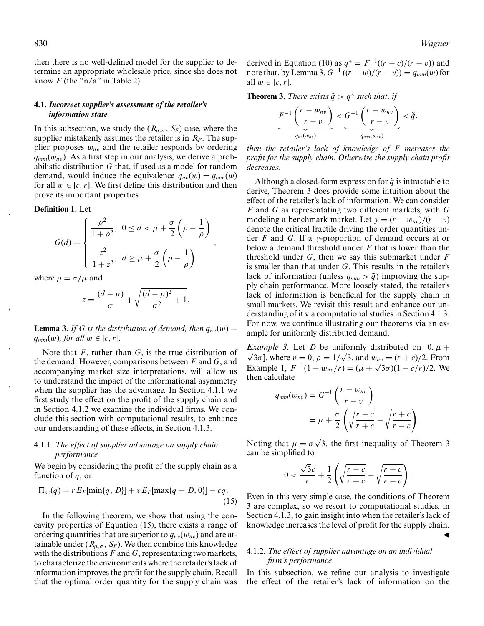then there is no well-defined model for the supplier to determine an appropriate wholesale price, since she does not know  $F$  (the " $n/a$ " in Table 2).

## **4.1.** *Incorrect supplier's assessment of the retailer's information state*

In this subsection, we study the  $(R_{\mu,\sigma}, S_F)$  case, where the supplier mistakenly assumes the retailer is in  $R_F$ . The supplier proposes  $w_{nv}$  and the retailer responds by ordering  $q_{mm}(w_{nv})$ . As a first step in our analysis, we derive a probabilistic distribution *G* that, if used as a model for random demand, would induce the equivalence  $q_{nv}(w) = q_{mm}(w)$ for all  $w \in [c, r]$ . We first define this distribution and then prove its important properties.

**Definition 1.** Let

$$
G(d) = \begin{cases} \frac{\rho^2}{1+\rho^2}, & 0 \le d < \mu + \frac{\sigma}{2} \left( \rho - \frac{1}{\rho} \right) \\ \frac{z^2}{1+z^2}, & d \ge \mu + \frac{\sigma}{2} \left( \rho - \frac{1}{\rho} \right) \end{cases}
$$

where  $\rho = \sigma / \mu$  and

$$
z = \frac{(d-\mu)}{\sigma} + \sqrt{\frac{(d-\mu)^2}{\sigma^2} + 1}.
$$

**Lemma 3.** *If G is the distribution of demand, then*  $q_{nv}(w) =$  $q_{mm}(w)$ *, for all*  $w \in [c, r]$ *.* 

Note that *F*, rather than *G*, is the true distribution of the demand. However, comparisons between *F* and *G*, and accompanying market size interpretations, will allow us to understand the impact of the informational asymmetry when the supplier has the advantage. In Section 4.1.1 we first study the effect on the profit of the supply chain and in Section 4.1.2 we examine the individual firms. We conclude this section with computational results, to enhance our understanding of these effects, in Section 4.1.3.

# 4.1.1. *The effect of supplier advantage on supply chain performance*

We begin by considering the profit of the supply chain as a function of *q*, or

$$
\Pi_{sc}(q) = r E_F[\min\{q, D\}] + v E_F[\max\{q - D, 0\}] - cq.
$$
\n(15)

In the following theorem, we show that using the concavity properties of Equation (15), there exists a range of ordering quantities that are superior to  $q_{nv}(w_{nv})$  and are attainable under  $(R_{\mu,\sigma}, S_F)$ . We then combine this knowledge with the distributions *F* and *G*, representating two markets, to characterize the environments where the retailer's lack of information improves the profit for the supply chain. Recall that the optimal order quantity for the supply chain was

derived in Equation (10) as  $q^* = F^{-1}((r - c)/(r - v))$  and note that, by Lemma 3,  $G^{-1}((r - w)/(r - v)) = q_{mm}(w)$  for all  $w \in [c, r]$ .

**Theorem 3.** *There exists*  $\tilde{q} > q^*$  *such that, if* 

$$
\underbrace{F^{-1}\left(\frac{r-w_{nv}}{r-v}\right)}_{q_{mv}(w_{nv})} < \underbrace{G^{-1}\left(\frac{r-w_{nv}}{r-v}\right)}_{q_{mm}(w_{nv})} < \tilde{q},
$$

*then the retailer's lack of knowledge of F increases the profit for the supply chain. Otherwise the supply chain profit decreases.*

Although a closed-form expression for  $\tilde{q}$  is intractable to derive, Theorem 3 does provide some intuition about the effect of the retailer's lack of information. We can consider *F* and *G* as representating two different markets, with *G* modeling a benchmark market. Let  $y = (r - w_{nv})/(r - v)$ denote the critical fractile driving the order quantities under *F* and *G*. If a *y*-proportion of demand occurs at or below a demand threshold under *F* that is lower than the threshold under *G*, then we say this submarket under *F* is smaller than that under *G*. This results in the retailer's lack of information (unless  $q_{mm} > \tilde{q}$ ) improving the supply chain performance. More loosely stated, the retailer's lack of information is beneficial for the supply chain in small markets. We revisit this result and enhance our understanding of it via computational studies in Section 4.1.3. For now, we continue illustrating our theorems via an example for uniformly distributed demand.

*Example 3.* Let *D* be uniformly distributed on  $[0, \mu +$  $\sqrt{3}σ$ ], where  $v = 0$ ,  $ρ = 1/√3$ , and  $w_{nv} = (r + c)/2$ . From Example 1,  $F^{-1}(1 - w_{nv}/r) = (\mu + \sqrt{3}\sigma)(1 - c/r)/2$ . We then calculate

$$
q_{mm}(w_{nv}) = G^{-1}\left(\frac{r - w_{nv}}{r - v}\right)
$$
  
=  $\mu + \frac{\sigma}{2}\left(\sqrt{\frac{r - c}{r + c}} - \sqrt{\frac{r + c}{r - c}}\right)$ 

.

.

 $\blacktriangleleft$ 

Noting that  $\mu = \sigma \sqrt{3}$ , the first inequality of Theorem 3 can be simplified to

$$
0 < \frac{\sqrt{3}c}{r} + \frac{1}{2} \left( \sqrt{\frac{r-c}{r+c}} - \sqrt{\frac{r+c}{r-c}} \right)
$$

Even in this very simple case, the conditions of Theorem 3 are complex, so we resort to computational studies, in Section 4.1.3, to gain insight into when the retailer's lack of knowledge increases the level of profit for the supply chain.

# 4.1.2. *The effect of supplier advantage on an individual firm's performance*

In this subsection, we refine our analysis to investigate the effect of the retailer's lack of information on the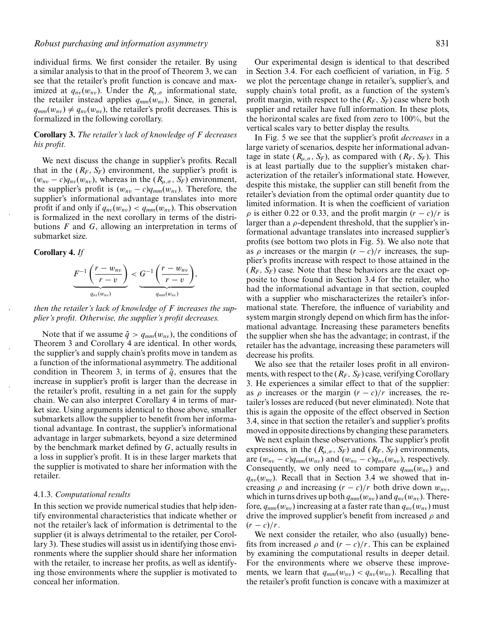individual firms. We first consider the retailer. By using a similar analysis to that in the proof of Theorem 3, we can see that the retailer's profit function is concave and maximized at  $q_{nv}(w_{nv})$ . Under the  $R_{\mu,\sigma}$  informational state, the retailer instead applies  $q_{mm}(w_{nv})$ . Since, in general,  $q_{mm}(w_{nv}) \neq q_{nv}(w_{nv})$ , the retailer's profit decreases. This is formalized in the following corollary.

# **Corollary 3.** *The retailer's lack of knowledge of F decreases his profit.*

We next discuss the change in supplier's profits. Recall that in the  $(R_F, S_F)$  environment, the supplier's profit is  $(w_{nv} - c)q_{nv}(w_{nv})$ , whereas in the  $(R_{\mu,\sigma}, S_F)$  environment, the supplier's profit is  $(w_{nv} - c)q_{mm}(w_{nv})$ . Therefore, the supplier's informational advantage translates into more profit if and only if  $q_{nv}(w_{nv}) < q_{mm}(w_{nv})$ . This observation is formalized in the next corollary in terms of the distributions *F* and *G*, allowing an interpretation in terms of submarket size.

**Corollary 4.** *If*

$$
\underbrace{F^{-1}\left(\frac{r-w_{nv}}{r-v}\right)}_{q_{nv}(w_{nv})}<\underbrace{G^{-1}\left(\frac{r-w_{nv}}{r-v}\right)}_{q_{mm}(w_{nv})},
$$

*then the retailer's lack of knowledge of F increases the supplier's profit. Otherwise, the supplier's profit decreases.*

Note that if we assume  $\tilde{q} > q_{mm}(w_{nv})$ , the conditions of Theorem 3 and Corollary 4 are identical. In other words, the supplier's and supply chain's profits move in tandem as a function of the informational asymmetry. The additional condition in Theorem 3, in terms of  $\tilde{q}$ , ensures that the increase in supplier's profit is larger than the decrease in the retailer's profit, resulting in a net gain for the supply chain. We can also interpret Corollary 4 in terms of market size. Using arguments identical to those above, smaller submarkets allow the supplier to benefit from her informational advantage. In contrast, the supplier's informational advantage in larger submarkets, beyond a size determined by the benchmark market defined by *G*, actually results in a loss in supplier's profit. It is in these larger markets that the supplier is motivated to share her information with the retailer.

## 4.1.3. *Computational results*

In this section we provide numerical studies that help identify environmental characteristics that indicate whether or not the retailer's lack of information is detrimental to the supplier (it is always detrimental to the retailer, per Corollary 3). These studies will assist us in identifying those environments where the supplier should share her information with the retailer, to increase her profits, as well as identifying those environments where the supplier is motivated to conceal her information.

Our experimental design is identical to that described in Section 3.4. For each coefficient of variation, in Fig. 5 we plot the percentage change in retailer's, supplier's, and supply chain's total profit, as a function of the system's profit margin, with respect to the  $(R_F, S_F)$  case where both supplier and retailer have full information. In these plots, the horizontal scales are fixed from zero to 100%, but the vertical scales vary to better display the results.

In Fig. 5 we see that the supplier's profit *decreases* in a large variety of scenarios, despite her informational advantage in state  $(R_{\mu,\sigma}, S_F)$ , as compared with  $(R_F, S_F)$ . This is at least partially due to the supplier's mistaken characterization of the retailer's informational state. However, despite this mistake, the supplier can still benefit from the retailer's deviation from the optimal order quantity due to limited information. It is when the coefficient of variation  $\rho$  is either 0.22 or 0.33, and the profit margin  $(r - c)/r$  is larger than a  $\rho$ -dependent threshold, that the supplier's informational advantage translates into increased supplier's profits (see bottom two plots in Fig. 5). We also note that as  $\rho$  increases or the margin  $(r - c)/r$  increases, the supplier's profits increase with respect to those attained in the  $(R_F, S_F)$  case. Note that these behaviors are the exact opposite to those found in Section 3.4 for the retailer, who had the informational advantage in that section, coupled with a supplier who mischaracterizes the retailer's informational state. Therefore, the influence of variability and system margin strongly depend on which firm has the informational advantage. Increasing these parameters benefits the supplier when she has the advantage; in contrast, if the retailer has the advantage, increasing these parameters will decrease his profits.

We also see that the retailer loses profit in all environments, with respect to the  $(R_F, S_F)$  case, verifying Corollary 3. He experiences a similar effect to that of the supplier: as  $\rho$  increases or the margin  $(r - c)/r$  increases, the retailer's losses are reduced (but never eliminated). Note that this is again the opposite of the effect observed in Section 3.4, since in that section the retailer's and supplier's profits moved in opposite directions by changing these parameters.

We next explain these observations. The supplier's profit expressions, in the  $(R_{\mu,\sigma}, S_F)$  and  $(R_F, S_F)$  environments, are  $(w_{nv} - c)q_{mm}(w_{nv})$  and  $(w_{nv} - c)q_{nv}(w_{nv})$ , respectively. Consequently, we only need to compare  $q_{mm}(w_{nv})$  and  $q_{nv}(w_{nv})$ . Recall that in Section 3.4 we showed that increasing  $\rho$  and increasing  $(r - c)/r$  both drive down  $w_{nv}$ , which in turns drives up both  $q_{mm}(w_{nv})$  and  $q_{nv}(w_{nv})$ . Therefore,  $q_{mm}(w_{nv})$  increasing at a faster rate than  $q_{nv}(w_{nv})$  must drive the improved supplier's benefit from increased  $\rho$  and  $(r - c)/r$ .

We next consider the retailer, who also (usually) benefits from increased  $\rho$  and  $(r - c)/r$ . This can be explained by examining the computational results in deeper detail. For the environments where we observe these improvements, we learn that  $q_{mm}(w_{nv}) < q_{nv}(w_{nv})$ . Recalling that the retailer's profit function is concave with a maximizer at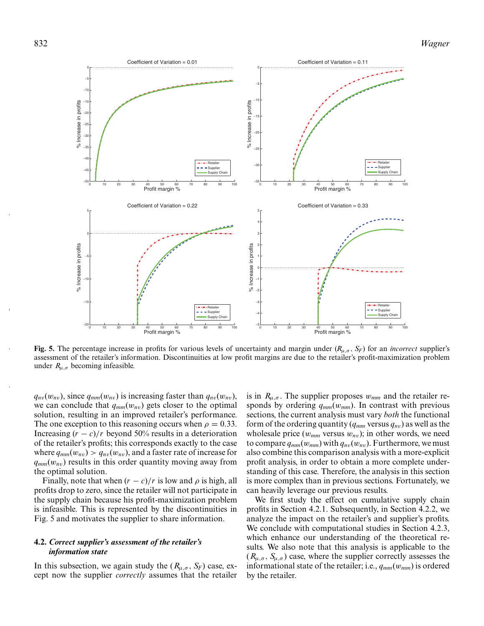

**Fig. 5.** The percentage increase in profits for various levels of uncertainty and margin under  $(R_{\mu,\sigma}, S_F)$  for an *incorrect* supplier's assessment of the retailer's information. Discontinuities at low profit margins are due to the retailer's profit-maximization problem under  $R_{\mu,\sigma}$  becoming infeasible.

 $q_{nv}(w_{nv})$ , since  $q_{mm}(w_{nv})$  is increasing faster than  $q_{nv}(w_{nv})$ , we can conclude that  $q_{mm}(w_{nv})$  gets closer to the optimal solution, resulting in an improved retailer's performance. The one exception to this reasoning occurs when  $\rho = 0.33$ . Increasing  $(r - c)/r$  beyond 50% results in a deterioration of the retailer's profits; this corresponds exactly to the case where  $q_{mm}(w_{nv}) > q_{nv}(w_{nv})$ , and a faster rate of increase for  $q_{mm}(w_{nv})$  results in this order quantity moving away from the optimal solution.

Finally, note that when  $(r - c)/r$  is low and  $\rho$  is high, all profits drop to zero, since the retailer will not participate in the supply chain because his profit-maximization problem is infeasible. This is represented by the discontinuities in Fig. 5 and motivates the supplier to share information.

# **4.2.** *Correct supplier's assessment of the retailer's information state*

In this subsection, we again study the  $(R_{\mu,\sigma}, S_F)$  case, except now the supplier *correctly* assumes that the retailer is in  $R_{\mu,\sigma}$ . The supplier proposes  $w_{mm}$  and the retailer responds by ordering *qmm*(w*mm*). In contrast with previous sections, the current analysis must vary *both* the functional form of the ordering quantity  $(q_{mm}$  versus  $q_{nv}$ ) as well as the wholesale price  $(w_{mm}$  versus  $w_{nv}$ ); in other words, we need to compare  $q_{mm}(w_{mm})$  with  $q_{nv}(w_{nv})$ . Furthermore, we must also combine this comparison analysis with a more-explicit profit analysis, in order to obtain a more complete understanding of this case. Therefore, the analysis in this section is more complex than in previous sections. Fortunately, we can heavily leverage our previous results.

We first study the effect on cumulative supply chain profits in Section 4.2.1. Subsequently, in Section 4.2.2, we analyze the impact on the retailer's and supplier's profits. We conclude with computational studies in Section 4.2.3, which enhance our understanding of the theoretical results. We also note that this analysis is applicable to the  $(R_{\mu,\sigma}, S_{\mu,\sigma})$  case, where the supplier correctly assesses the informational state of the retailer; i.e.,  $q_{mm}(w_{mm})$  is ordered by the retailer.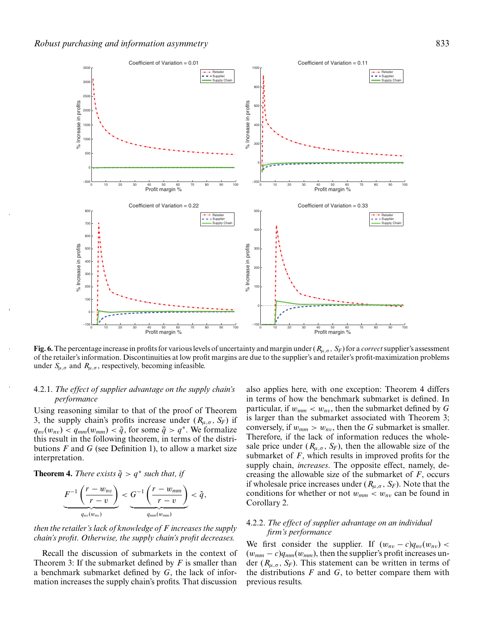

**Fig. 6.** The percentage increase in profits for various levels of uncertainty and margin under ( $R_{\mu,\sigma}$ ,  $S_F$ ) for a *correct* supplier's assessment of the retailer's information. Discontinuities at low profit margins are due to the supplier's and retailer's profit-maximization problems under  $S_{\mu,\sigma}$  and  $R_{\mu,\sigma}$ , respectively, becoming infeasible.

# 4.2.1. *The effect of supplier advantage on the supply chain's performance*

Using reasoning similar to that of the proof of Theorem 3, the supply chain's profits increase under  $(R_{\mu,\sigma}, S_F)$  if  $q_{nv}(w_{nv}) < q_{mm}(w_{mm}) < \tilde{q}$ , for some  $\tilde{q} > q^*$ . We formalize this result in the following theorem, in terms of the distributions *F* and *G* (see Definition 1), to allow a market size interpretation.

**Theorem 4.** *There exists*  $\tilde{q} > q^*$  *such that, if* 

$$
\underbrace{F^{-1}\left(\frac{r-w_{nv}}{r-v}\right)}_{q_{nv}(w_{nv})} < \underbrace{G^{-1}\left(\frac{r-w_{mm}}{r-v}\right)}_{q_{mm}(w_{mm})} < \tilde{q},
$$

*then the retailer's lack of knowledge of F increases the supply chain's profit. Otherwise, the supply chain's profit decreases.*

Recall the discussion of submarkets in the context of Theorem 3: If the submarket defined by *F* is smaller than a benchmark submarket defined by *G*, the lack of information increases the supply chain's profits. That discussion also applies here, with one exception: Theorem 4 differs in terms of how the benchmark submarket is defined. In particular, if  $w_{mm} < w_{nv}$ , then the submarket defined by G is larger than the submarket associated with Theorem 3; conversely, if  $w_{mm} > w_{nv}$ , then the *G* submarket is smaller. Therefore, if the lack of information reduces the wholesale price under  $(R_{\mu,\sigma}, S_F)$ , then the allowable size of the submarket of *F*, which results in improved profits for the supply chain, *increases*. The opposite effect, namely, decreasing the allowable size of the submarket of *F*, occurs if wholesale price increases under ( $R_{\mu,\sigma}$ ,  $S_F$ ). Note that the conditions for whether or not  $w_{mm} < w_{nv}$  can be found in Corollary 2.

# 4.2.2. *The effect of supplier advantage on an individual firm's performance*

We first consider the supplier. If  $(w_{nv} - c)q_{nv}(w_{nv})$  $(w_{mm} - c)q_{mm}(w_{mm})$ , then the supplier's profit increases under ( $R_{\mu,\sigma}$ ,  $S_F$ ). This statement can be written in terms of the distributions *F* and *G*, to better compare them with previous results.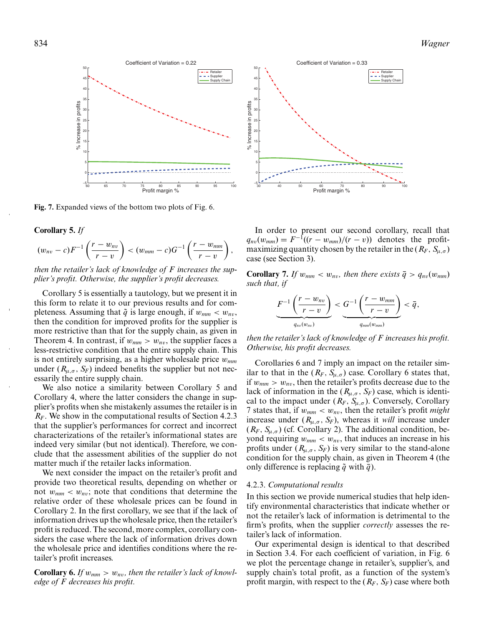

**Fig. 7.** Expanded views of the bottom two plots of Fig. 6.

#### **Corollary 5.** *If*

$$
(w_{nv} - c)F^{-1}\left(\frac{r - w_{nv}}{r - v}\right) < (w_{mm} - c)G^{-1}\left(\frac{r - w_{mm}}{r - v}\right),
$$

*then the retailer's lack of knowledge of F increases the supplier's profit. Otherwise, the supplier's profit decreases.*

Corollary 5 is essentially a tautology, but we present it in this form to relate it to our previous results and for completeness. Assuming that  $\tilde{q}$  is large enough, if  $w_{mm} < w_{nv}$ , then the condition for improved profits for the supplier is more restrictive than that for the supply chain, as given in Theorem 4. In contrast, if  $w_{mm} > w_{nv}$ , the supplier faces a less-restrictive condition that the entire supply chain. This is not entirely surprising, as a higher wholesale price w*mm* under ( $R_{\mu,\sigma}$ ,  $S_F$ ) indeed benefits the supplier but not necessarily the entire supply chain.

We also notice a similarity between Corollary 5 and Corollary 4, where the latter considers the change in supplier's profits when she mistakenly assumes the retailer is in *R<sub>F</sub>*. We show in the computational results of Section 4.2.3 that the supplier's performances for correct and incorrect characterizations of the retailer's informational states are indeed very similar (but not identical). Therefore, we conclude that the assessment abilities of the supplier do not matter much if the retailer lacks information.

We next consider the impact on the retailer's profit and provide two theoretical results, depending on whether or not  $w_{mm} < w_{nv}$ ; note that conditions that determine the relative order of these wholesale prices can be found in Corollary 2. In the first corollary, we see that if the lack of information drives up the wholesale price, then the retailer's profit is reduced. The second, more complex, corollary considers the case where the lack of information drives down the wholesale price and identifies conditions where the retailer's profit increases.

**Corollary 6.** If  $w_{mm} > w_{nv}$ , then the retailer's lack of knowl*edge of F decreases his profit.*



In order to present our second corollary, recall that  $q_{nv}(w_{mm}) = F^{-1}((r-w_{mm})/(r-v))$  denotes the profitmaximizing quantity chosen by the retailer in the  $(R_F, S_{\mu,\sigma})$ case (see Section 3).

**Corollary 7.** *If*  $w_{mm} < w_{nv}$ *, then there exists*  $\bar{q} > q_{nv}(w_{mm})$ *such that, if*

$$
\underbrace{F^{-1}\left(\frac{r-w_{nv}}{r-v}\right)}_{q_{nv}(w_{nv})} < \underbrace{G^{-1}\left(\frac{r-w_{mm}}{r-v}\right)}_{q_{mm}(w_{mm})} < \bar{q},
$$

*then the retailer's lack of knowledge of F increases his profit. Otherwise, his profit decreases.*

Corollaries 6 and 7 imply an impact on the retailer similar to that in the  $(R_F, S_{\mu,\sigma})$  case. Corollary 6 states that, if  $w_{mm} > w_{nv}$ , then the retailer's profits decrease due to the lack of information in the  $(R_{\mu,\sigma}, S_F)$  case, which is identical to the impact under  $(R_F, S_{\mu,\sigma})$ . Conversely, Corollary 7 states that, if  $w_{mm} < w_{nv}$ , then the retailer's profit *might* increase under  $(R_{\mu,\sigma}, S_F)$ , whereas it *will* increase under  $(R_F, S_{\mu,\sigma})$  (cf. Corollary 2). The additional condition, beyond requiring  $w_{mm} < w_{nv}$ , that induces an increase in his profits under  $(R_{\mu,\sigma}, S_F)$  is very similar to the stand-alone condition for the supply chain, as given in Theorem 4 (the only difference is replacing  $\tilde{q}$  with  $\bar{q}$ ).

#### 4.2.3. *Computational results*

In this section we provide numerical studies that help identify environmental characteristics that indicate whether or not the retailer's lack of information is detrimental to the firm's profits, when the supplier *correctly* assesses the retailer's lack of information.

Our experimental design is identical to that described in Section 3.4. For each coefficient of variation, in Fig. 6 we plot the percentage change in retailer's, supplier's, and supply chain's total profit, as a function of the system's profit margin, with respect to the  $(R_F, S_F)$  case where both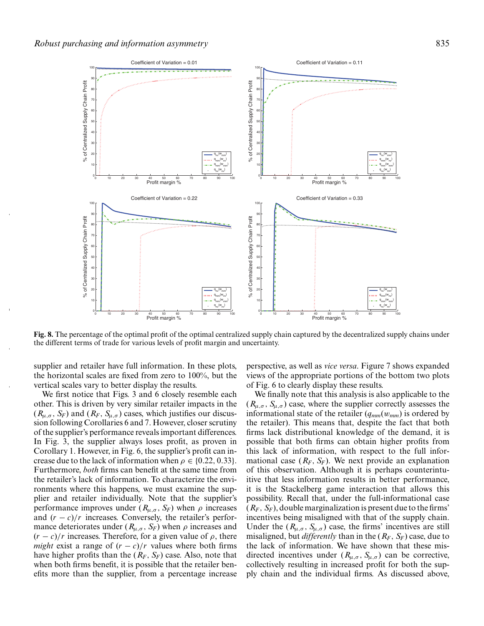

**Fig. 8.** The percentage of the optimal profit of the optimal centralized supply chain captured by the decentralized supply chains under the different terms of trade for various levels of profit margin and uncertainty.

supplier and retailer have full information. In these plots, the horizontal scales are fixed from zero to 100%, but the vertical scales vary to better display the results.

We first notice that Figs. 3 and 6 closely resemble each other. This is driven by very similar retailer impacts in the  $(R_{\mu,\sigma}, S_F)$  and  $(R_F, S_{\mu,\sigma})$  cases, which justifies our discussion following Corollaries 6 and 7. However, closer scrutiny of the supplier's performance reveals important differences. In Fig. 3, the supplier always loses profit, as proven in Corollary 1. However, in Fig. 6, the supplier's profit can increase due to the lack of information when  $\rho \in \{0.22, 0.33\}$ . Furthermore, *both* firms can benefit at the same time from the retailer's lack of information. To characterize the environments where this happens, we must examine the supplier and retailer individually. Note that the supplier's performance improves under  $(R_{\mu,\sigma}, S_F)$  when  $\rho$  increases and  $(r - c)/r$  increases. Conversely, the retailer's performance deteriorates under  $(R_{\mu,\sigma}, S_F)$  when  $\rho$  increases and  $(r - c)/r$  increases. Therefore, for a given value of  $\rho$ , there *might* exist a range of  $(r - c)/r$  values where both firms have higher profits than the  $(R_F, S_F)$  case. Also, note that when both firms benefit, it is possible that the retailer benefits more than the supplier, from a percentage increase perspective, as well as *vice versa*. Figure 7 shows expanded views of the appropriate portions of the bottom two plots of Fig. 6 to clearly display these results.

We finally note that this analysis is also applicable to the  $(R_{\mu,\sigma}, S_{\mu,\sigma})$  case, where the supplier correctly assesses the informational state of the retailer  $(q_{mm}(w_{mm}))$  is ordered by the retailer). This means that, despite the fact that both firms lack distributional knowledge of the demand, it is possible that both firms can obtain higher profits from this lack of information, with respect to the full informational case  $(R_F, S_F)$ . We next provide an explanation of this observation. Although it is perhaps counterintuitive that less information results in better performance, it is the Stackelberg game interaction that allows this possibility. Recall that, under the full-informational case  $(R_F, S_F)$ , double marginalization is present due to the firms' incentives being misaligned with that of the supply chain. Under the  $(R_{\mu,\sigma}, S_{\mu,\sigma})$  case, the firms' incentives are still misaligned, but *differently* than in the  $(R_F, S_F)$  case, due to the lack of information. We have shown that these misdirected incentives under  $(R_{\mu,\sigma}, S_{\mu,\sigma})$  can be corrective, collectively resulting in increased profit for both the supply chain and the individual firms. As discussed above,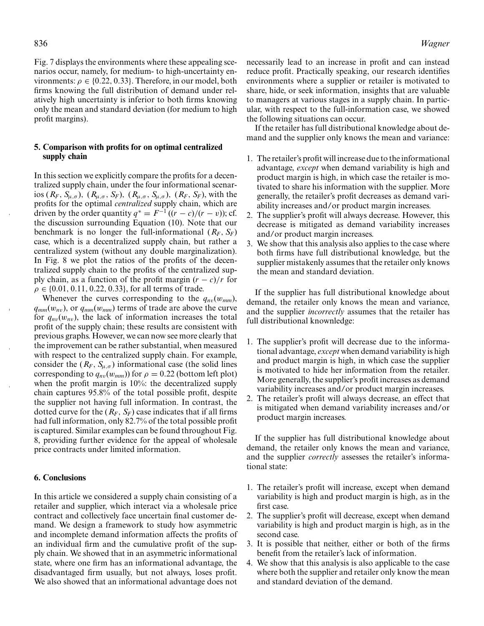Fig. 7 displays the environments where these appealing scenarios occur, namely, for medium- to high-uncertainty environments:  $\rho \in \{0.22, 0.33\}$ . Therefore, in our model, both firms knowing the full distribution of demand under relatively high uncertainty is inferior to both firms knowing only the mean and standard deviation (for medium to high profit margins).

# **5. Comparison with profits for on optimal centralized supply chain**

In this section we explicitly compare the profits for a decentralized supply chain, under the four informational scenarios  $(R_F, S_{\mu,\sigma})$ ,  $(R_{\mu,\sigma}, S_F)$ ,  $(R_{\mu,\sigma}, S_{\mu,\sigma})$ ,  $(R_F, S_F)$ , with the profits for the optimal *centralized* supply chain, which are driven by the order quantity  $q^* = F^{-1}((r - c)/(r - v))$ ; cf. the discussion surrounding Equation (10). Note that our benchmark is no longer the full-informational  $(R_F, S_F)$ case, which is a decentralized supply chain, but rather a centralized system (without any double marginalization). In Fig. 8 we plot the ratios of the profits of the decentralized supply chain to the profits of the centralized supply chain, as a function of the profit margin  $(r - c)/r$  for  $\rho \in \{0.01, 0.11, 0.22, 0.33\}$ , for all terms of trade.

Whenever the curves corresponding to the  $q_{nv}(w_{mm})$ ,  $q_{mm}(w_{nv})$ , or  $q_{mm}(w_{mm})$  terms of trade are above the curve for  $q_{nv}(w_{nv})$ , the lack of information increases the total profit of the supply chain; these results are consistent with previous graphs. However, we can now see more clearly that the improvement can be rather substantial, when measured with respect to the centralized supply chain. For example, consider the  $(R_F, S_{\mu,\sigma})$  informational case (the solid lines corresponding to  $q_{nv}(w_{mm})$  for  $\rho = 0.22$  (bottom left plot) when the profit margin is 10%: the decentralized supply chain captures 95.8% of the total possible profit, despite the supplier not having full information. In contrast, the dotted curve for the  $(R_F, S_F)$  case indicates that if all firms had full information, only 82.7% of the total possible profit is captured. Similar examples can be found throughout Fig. 8, providing further evidence for the appeal of wholesale price contracts under limited information.

## **6. Conclusions**

In this article we considered a supply chain consisting of a retailer and supplier, which interact via a wholesale price contract and collectively face uncertain final customer demand. We design a framework to study how asymmetric and incomplete demand information affects the profits of an individual firm and the cumulative profit of the supply chain. We showed that in an asymmetric informational state, where one firm has an informational advantage, the disadvantaged firm usually, but not always, loses profit. We also showed that an informational advantage does not

necessarily lead to an increase in profit and can instead reduce profit. Practically speaking, our research identifies environments where a supplier or retailer is motivated to share, hide, or seek information, insights that are valuable to managers at various stages in a supply chain. In particular, with respect to the full-information case, we showed the following situations can occur.

If the retailer has full distributional knowledge about demand and the supplier only knows the mean and variance:

- 1. The retailer's profit will increase due to the informational advantage, *except* when demand variability is high and product margin is high, in which case the retailer is motivated to share his information with the supplier. More generally, the retailer's profit decreases as demand variability increases and/or product margin increases.
- 2. The supplier's profit will always decrease. However, this decrease is mitigated as demand variability increases and/or product margin increases.
- 3. We show that this analysis also applies to the case where both firms have full distributional knowledge, but the supplier mistakenly assumes that the retailer only knows the mean and standard deviation.

If the supplier has full distributional knowledge about demand, the retailer only knows the mean and variance, and the supplier *incorrectly* assumes that the retailer has full distributional knownledge:

- 1. The supplier's profit will decrease due to the informational advantage, *except* when demand variability is high and product margin is high, in which case the supplier is motivated to hide her information from the retailer. More generally, the supplier's profit increases as demand variability increases and/or product margin increases.
- 2. The retailer's profit will always decrease, an effect that is mitigated when demand variability increases and/or product margin increases.

If the supplier has full distributional knowledge about demand, the retailer only knows the mean and variance, and the supplier *correctly* assesses the retailer's informational state:

- 1. The retailer's profit will increase, except when demand variability is high and product margin is high, as in the first case.
- 2. The supplier's profit will decrease, except when demand variability is high and product margin is high, as in the second case.
- 3. It is possible that neither, either or both of the firms benefit from the retailer's lack of information.
- 4. We show that this analysis is also applicable to the case where both the supplier and retailer only know the mean and standard deviation of the demand.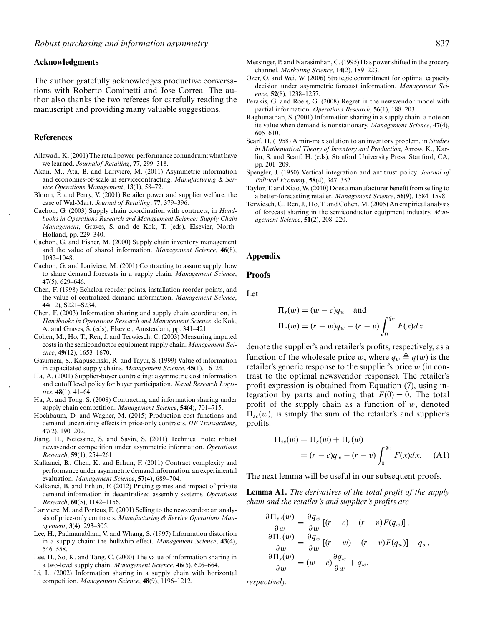### **Acknowledgments**

The author gratefully acknowledges productive conversations with Roberto Cominetti and Jose Correa. The author also thanks the two referees for carefully reading the manuscript and providing many valuable suggestions.

#### **References**

- Ailawadi, K. (2001) The retail power-performance conundrum: what have we learned. *Journalof Retailing*, **77**, 299–318.
- Akan, M., Ata, B. and Lariviere, M. (2011) Asymmetric information and economies-of-scale in servicecontracting. *Manufacturing & Service Operations Management*, **13**(1), 58–72.
- Bloom, P. and Perry, V. (2001) Retailer power and supplier welfare: the case of Wal-Mart. *Journal of Retailing*, **77**, 379–396.
- Cachon, G. (2003) Supply chain coordination with contracts, in *Handbooks in Operations Research and Management Science: Supply Chain Management*, Graves, S. and de Kok, T. (eds), Elsevier, North-Holland, pp. 229–340.
- Cachon, G. and Fisher, M. (2000) Supply chain inventory management and the value of shared information. *Management Science*, **46**(8), 1032–1048.
- Cachon, G. and Lariviere, M. (2001) Contracting to assure supply: how to share demand forecasts in a supply chain. *Management Science*, **47**(5), 629–646.
- Chen, F. (1998) Echelon reorder points, installation reorder points, and the value of centralized demand information. *Management Science*, **44**(12), S221–S234.
- Chen, F. (2003) Information sharing and supply chain coordination, in *Handbooks in Operations Research and Management Science*, de Kok, A. and Graves, S. (eds), Elsevier, Amsterdam, pp. 341–421.
- Cohen, M., Ho, T., Ren, J. and Terwiesch, C. (2003) Measuring imputed costs in the semiconductor equipment supply chain. *Management Science*, **49**(12), 1653–1670.
- Gavirneni, S., Kapuscinski, R. and Tayur, S. (1999) Value of information in capacitated supply chains. *Management Science*, **45**(1), 16–24.
- Ha, A. (2001) Supplier-buyer contracting: asymmetric cost information and cutoff level policy for buyer participation. *Naval Research Logistics*, **48**(1), 41–64.
- Ha, A. and Tong, S. (2008) Contracting and information sharing under supply chain competition. *Management Science*, **54**(4), 701–715.
- Hochbaum, D. and Wagner, M. (2015) Production cost functions and demand uncertainty effects in price-only contracts. *IIE Transactions*, **47**(2), 190–202.
- Jiang, H., Netessine, S. and Savin, S. (2011) Technical note: robust newsvendor competition under asymmetric information. *Operations Research*, **59**(1), 254–261.
- Kalkanci, B., Chen, K. and Erhun, F. (2011) Contract complexity and performance under asymmetric demand information: an experimental evaluation. *Management Science*, **57**(4), 689–704.
- Kalkanci, B. and Erhun, F. (2012) Pricing games and impact of private demand information in decentralized assembly systems. *Operations Research*, **60**(5), 1142–1156.
- Lariviere, M. and Porteus, E. (2001) Selling to the newsvendor: an analysis of price-only contracts. *Manufacturing & Service Operations Management*, **3**(4), 293–305.
- Lee, H., Padmanabhan, V. and Whang, S. (1997) Information distortion in a supply chain: the bullwhip effect. *Management Science*, **43**(4), 546–558.
- Lee, H., So, K. and Tang, C. (2000) The value of information sharing in a two-level supply chain. *Management Science*, **46**(5), 626–664.
- Li, L. (2002) Information sharing in a supply chain with horizontal competition. *Management Science*, **48**(9), 1196–1212.
- Messinger, P. and Narasimhan, C. (1995) Has power shifted in the grocery channel. *Marketing Science*, **14**(2), 189–223.
- Ozer, O. and Wei, W. (2006) Strategic commitment for optimal capacity decision under asymmetric forecast information. *Management Science*, **52**(8), 1238–1257.
- Perakis, G. and Roels, G. (2008) Regret in the newsvendor model with partial information. *Operations Research*, **56**(1), 188–203.
- Raghunathan, S. (2001) Information sharing in a supply chain: a note on its value when demand is nonstationary. *Management Science*, **47**(4), 605–610.
- Scarf, H. (1958) A min-max solution to an inventory problem, in *Studies in Mathematical Theory of Inventory and Production*, Arrow, K., Karlin, S. and Scarf, H. (eds), Stanford University Press, Stanford, CA, pp. 201–209.
- Spengler, J. (1950) Vertical integration and antitrust policy. *Journal of Political Economy*, **58**(4), 347–352.
- Taylor, T. and Xiao,W. (2010) Does a manufacturer benefit from selling to a better-forecasting retailer. *Management Science*, **56**(9), 1584–1598.
- Terwiesch, C., Ren, J., Ho, T. and Cohen, M. (2005) An empirical analysis of forecast sharing in the semiconductor equipment industry. *Management Science*, **51**(2), 208–220.

#### **Appendix**

#### **Proofs**

Let

$$
\Pi_s(w) = (w - c)q_w \text{ and}
$$
  

$$
\Pi_r(w) = (r - w)q_w - (r - v) \int_0^{q_w} F(x)dx
$$

denote the supplier's and retailer's profits, respectively, as a function of the wholesale price w, where  $q_w \triangleq q(w)$  is the retailer's generic response to the supplier's price  $w$  (in contrast to the optimal newsvendor response). The retailer's profit expression is obtained from Equation (7), using integration by parts and noting that  $F(0) = 0$ . The total profit of the supply chain as a function of  $w$ , denoted  $\Pi_{sc}(w)$ , is simply the sum of the retailer's and supplier's profits:

$$
\Pi_{sc}(w) = \Pi_s(w) + \Pi_r(w)
$$
  
=  $(r - c)q_w - (r - v) \int_0^{q_w} F(x)dx$ . (A1)

The next lemma will be useful in our subsequent proofs.

**Lemma A1.** *The derivatives of the total profit of the supply chain and the retailer's and supplier's profits are*

$$
\frac{\partial \Pi_{sc}(w)}{\partial w} = \frac{\partial q_w}{\partial w} [(r - c) - (r - v)F(q_w)],
$$
  
\n
$$
\frac{\partial \Pi_r(w)}{\partial w} = \frac{\partial q_w}{\partial w} [(r - w) - (r - v)F(q_w)] - q_w,
$$
  
\n
$$
\frac{\partial \Pi_s(w)}{\partial w} = (w - c)\frac{\partial q_w}{\partial w} + q_w,
$$

*respectively.*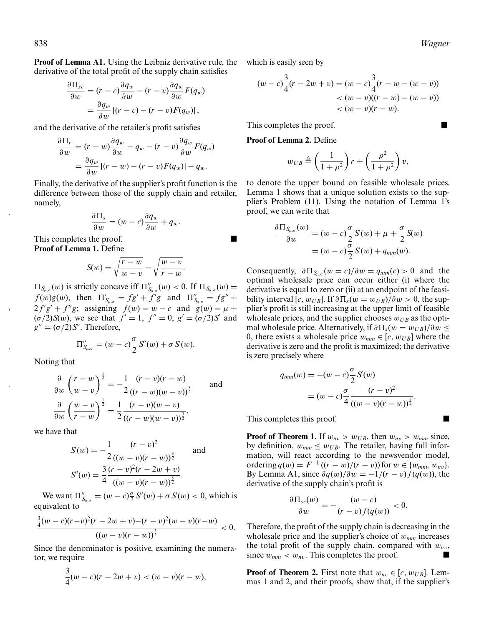**Proof of Lemma A1.** Using the Leibniz derivative rule, the which is easily seen by derivative of the total profit of the supply chain satisfies

$$
\frac{\partial \Pi_{sc}}{\partial w} = (r - c) \frac{\partial q_w}{\partial w} - (r - v) \frac{\partial q_w}{\partial w} F(q_w)
$$

$$
= \frac{\partial q_w}{\partial w} [(r - c) - (r - v) F(q_w)],
$$

and the derivative of the retailer's profit satisfies

$$
\frac{\partial \Pi_r}{\partial w} = (r - w) \frac{\partial q_w}{\partial w} - q_w - (r - v) \frac{\partial q_w}{\partial w} F(q_w)
$$

$$
= \frac{\partial q_w}{\partial w} [(r - w) - (r - v) F(q_w)] - q_w.
$$

Finally, the derivative of the supplier's profit function is the difference between those of the supply chain and retailer, namely,

$$
\frac{\partial \Pi_s}{\partial w} = (w - c) \frac{\partial q_w}{\partial w} + q_w.
$$

This completes the proof.  $\blacksquare$ **Proof of Lemma 1.** Define

$$
S(w) = \sqrt{\frac{r-w}{w-v}} - \sqrt{\frac{w-v}{r-w}}.
$$

 $\Pi_{S_{\mu,\sigma}}(w)$  is strictly concave iff  $\Pi''_{S_{\mu,\sigma}}(w) < 0$ . If  $\Pi_{S_{\mu,\sigma}}(w) =$ *f*(*w*)*g*(*w*), then  $\Pi'_{S_{\mu,\sigma}} = fg' + f'g$  and  $\Pi''_{S_{\mu,\sigma}} = fg'' + f'g$  $2f'g' + f''g$ ; assigning  $f(w) = w - c$  and  $g(w) = \mu + c$ (σ/2)*S*(w), we see that *f*′ = 1, *f*′′ = 0, *g*′ = (σ/2)*S*′ and  $g'' = (\sigma/2)S'$ . Therefore,

$$
\Pi''_{S_{\mu,\sigma}} = (w-c)\frac{\sigma}{2}S'(w) + \sigma S(w).
$$

Noting that

$$
\frac{\partial}{\partial w} \left( \frac{r - w}{w - v} \right)^{\frac{1}{2}} = -\frac{1}{2} \frac{(r - v)(r - w)}{((r - w)(w - v))^{\frac{3}{2}}}
$$
 and 
$$
\frac{\partial}{\partial w} \left( \frac{w - v}{r - w} \right)^{\frac{1}{2}} = \frac{1}{2} \frac{(r - v)(w - v)}{((r - w)(w - v))^{\frac{3}{2}}},
$$

we have that

$$
S(w) = -\frac{1}{2} \frac{(r-v)^2}{((w-v)(r-w))^{\frac{3}{2}}}
$$
 and  
\n
$$
S'(w) = \frac{3}{4} \frac{(r-v)^2(r-2w+v)}{((w-v)(r-w))^{\frac{5}{2}}}.
$$

We want  $\Pi''_{S_{\mu,\sigma}} = (w-c)\frac{\sigma}{2}S'(w) + \sigma S(w) < 0$ , which is equivalent to

$$
\frac{\frac{3}{4}(w-c)(r-v)^2(r-2w+v)-(r-v)^2(w-v)(r-w)}{((w-v)(r-w))^{\frac{5}{2}}}<0.
$$

Since the denominator is positive, examining the numerator, we require

$$
\frac{3}{4}(w-c)(r-2w+v) < (w-v)(r-w),
$$

$$
(w-c)\frac{3}{4}(r-2w+v) = (w-c)\frac{3}{4}(r-w-(w-v))
$$
  
<  $(w-v)((r-w)-(w-v))$   
<  $(w-v)(r-w)$ .

This completes the proof.

**Proof of Lemma 2.** Define

$$
w_{UB} \triangleq \left(\frac{1}{1+\rho^2}\right)r + \left(\frac{\rho^2}{1+\rho^2}\right)v,
$$

to denote the upper bound on feasible wholesale prices. Lemma 1 shows that a unique solution exists to the supplier's Problem (11). Using the notation of Lemma 1's proof, we can write that

$$
\frac{\partial \Pi_{S_{\mu,\sigma}}(w)}{\partial w} = (w-c)\frac{\sigma}{2}S(w) + \mu + \frac{\sigma}{2}S(w)
$$

$$
= (w-c)\frac{\sigma}{2}S(w) + q_{mm}(w).
$$

Consequently,  $\partial \Pi_{S_{u,\sigma}} (w = c)/\partial w = q_{mm}(c) > 0$  and the optimal wholesale price can occur either (i) where the derivative is equal to zero or (ii) at an endpoint of the feasibility interval [c,  $w_{UB}$ ]. If  $\partial \Pi_s(w = w_{UB})/\partial w > 0$ , the supplier's profit is still increasing at the upper limit of feasible wholesale prices, and the supplier chooses  $w_{UB}$  as the optimal wholesale price. Alternatively, if  $\partial \Pi_s(w = w_{UB})/\partial w$  ≤ 0, there exists a wholesale price  $w_{mm} \in [c, w_{UB}]$  where the derivative is zero and the profit is maximized; the derivative is zero precisely where

$$
q_{mm}(w) = -(w-c)\frac{\sigma}{2}S(w)
$$
  
=  $(w-c)\frac{\sigma}{4}\frac{(r-v)^2}{((w-v)(r-w))^{\frac{3}{2}}}$ 

.

This completes this proof. #

**Proof of Theorem 1.** If  $w_{nv} > w_{UB}$ , then  $w_{nv} > w_{mm}$  since, by definition,  $w_{mm} \leq w_{UB}$ . The retailer, having full information, will react according to the newsvendor model, ordering  $q(w) = F^{-1}((r - w)/(r - v))$  for  $w \in \{w_{mm}, w_{nv}\}.$ By Lemma A1, since  $\partial q(w)/\partial w = -1/(r - v)f(q(w))$ , the derivative of the supply chain's profit is

$$
\frac{\partial \Pi_{sc}(w)}{\partial w} = -\frac{(w-c)}{(r-v)f(q(w))} < 0.
$$

Therefore, the profit of the supply chain is decreasing in the wholesale price and the supplier's choice of w*mm* increases the total profit of the supply chain, compared with  $w_{nv}$ , since  $w_{mm} < w_{nv}$ . This completes the proof.

**Proof of Theorem 2.** First note that  $w_{nv} \in [c, w_{UB}]$ . Lemmas 1 and 2, and their proofs, show that, if the supplier's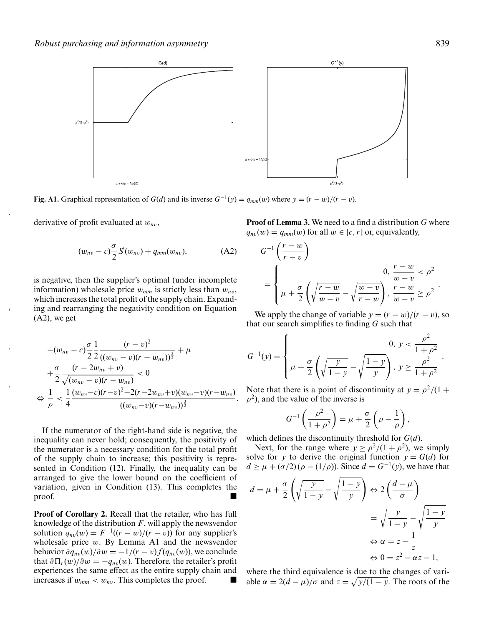

**Fig. A1.** Graphical representation of  $G(d)$  and its inverse  $G^{-1}(y) = q_{mm}(w)$  where  $y = (r - w)/(r - v)$ .

derivative of profit evaluated at w*<sup>n</sup>*v,

$$
(w_{nv} - c)\frac{\sigma}{2}S(w_{nv}) + q_{mm}(w_{nv}), \qquad (A2)
$$

is negative, then the supplier's optimal (under incomplete information) wholesale price  $w_{mm}$  is strictly less than  $w_{nn}$ , which increases the total profit of the supply chain. Expanding and rearranging the negativity condition on Equation  $(A2)$ , we get

$$
-(w_{nv}-c)\frac{\sigma}{2}\frac{1}{2}\frac{(r-v)^2}{((w_{nv}-v)(r-w_{nv}))^{\frac{3}{2}}}+\mu +\frac{\sigma}{2}\frac{(r-2w_{nv}+v)}{\sqrt{(w_{nv}-v)(r-w_{nv})}}<0 \Leftrightarrow \frac{1}{\rho}<\frac{1}{4}\frac{(w_{nv}-c)(r-v)^2-2(r-2w_{nv}+v)(w_{nv}-v)(r-w_{nv})}{((w_{nv}-v)(r-w_{nv}))^{\frac{3}{2}}}.
$$

If the numerator of the right-hand side is negative, the inequality can never hold; consequently, the positivity of the numerator is a necessary condition for the total profit of the supply chain to increase; this positivity is represented in Condition (12). Finally, the inequality can be arranged to give the lower bound on the coefficient of variation, given in Condition (13). This completes the proof.

**Proof of Corollary 2.** Recall that the retailer, who has full knowledge of the distribution *F*, will apply the newsvendor solution  $q_{nv}(w) = F^{-1}((r - w)/(r - v))$  for any supplier's wholesale price  $w$ . By Lemma A1 and the newsvendor behavior  $\partial q_{nv}(w)/\partial w = -1/(r - v)f(q_{nv}(w))$ , we conclude that  $\partial \Pi_r(w)/\partial w = -q_{nv}(w)$ . Therefore, the retailer's profit experiences the same effect as the entire supply chain and increases if  $w_{mm} < w_{nv}$ . This completes the proof.

**Proof of Lemma 3.** We need to a find a distribution *G* where  $q_{nv}(w) = q_{mm}(w)$  for all  $w \in [c, r]$  or, equivalently,

$$
G^{-1}\left(\frac{r-w}{r-v}\right)
$$
  
= 
$$
\begin{cases} \n0, \frac{r-w}{w-v} < \rho^2 \\ \n\mu + \frac{\sigma}{2} \left( \sqrt{\frac{r-w}{w-v}} - \sqrt{\frac{w-v}{r-w}} \right), \frac{r-w}{w-v} \ge \rho^2 \n\end{cases}
$$

We apply the change of variable  $y = (r - w)/(r - v)$ , so that our search simplifies to finding *G* such that

$$
G^{-1}(y) = \begin{cases} 0, & y < \frac{\rho^2}{1 + \rho^2} \\ \mu + \frac{\sigma}{2} \left( \sqrt{\frac{y}{1 - y}} - \sqrt{\frac{1 - y}{y}} \right), & y \ge \frac{\rho^2}{1 + \rho^2} \end{cases}.
$$

Note that there is a point of discontinuity at  $y = \rho^2/(1 +$  $\rho^2$ ), and the value of the inverse is

$$
G^{-1}\left(\frac{\rho^2}{1+\rho^2}\right) = \mu + \frac{\sigma}{2}\left(\rho - \frac{1}{\rho}\right),\,
$$

which defines the discontinuity threshold for *G*(*d*).

Next, for the range where  $y \ge \frac{\rho^2}{(1 + \rho^2)}$ , we simply solve for *y* to derive the original function  $y = G(d)$  for  $d \geq \mu + (\sigma/2)(\rho - (1/\rho))$ . Since  $d = G^{-1}(y)$ , we have that

$$
d = \mu + \frac{\sigma}{2} \left( \sqrt{\frac{y}{1 - y}} - \sqrt{\frac{1 - y}{y}} \right) \Leftrightarrow 2 \left( \frac{d - \mu}{\sigma} \right)
$$
  
=  $\sqrt{\frac{y}{1 - y}} - \sqrt{\frac{1 - y}{y}}$   
 $\Leftrightarrow \alpha = z - \frac{1}{z}$   
 $\Leftrightarrow 0 = z^2 - \alpha z - 1,$ 

where the third equivalence is due to the changes of variable  $\alpha = 2(d - \mu)/\sigma$  and  $z = \sqrt{\frac{y}{1 - y}}$ . The roots of the